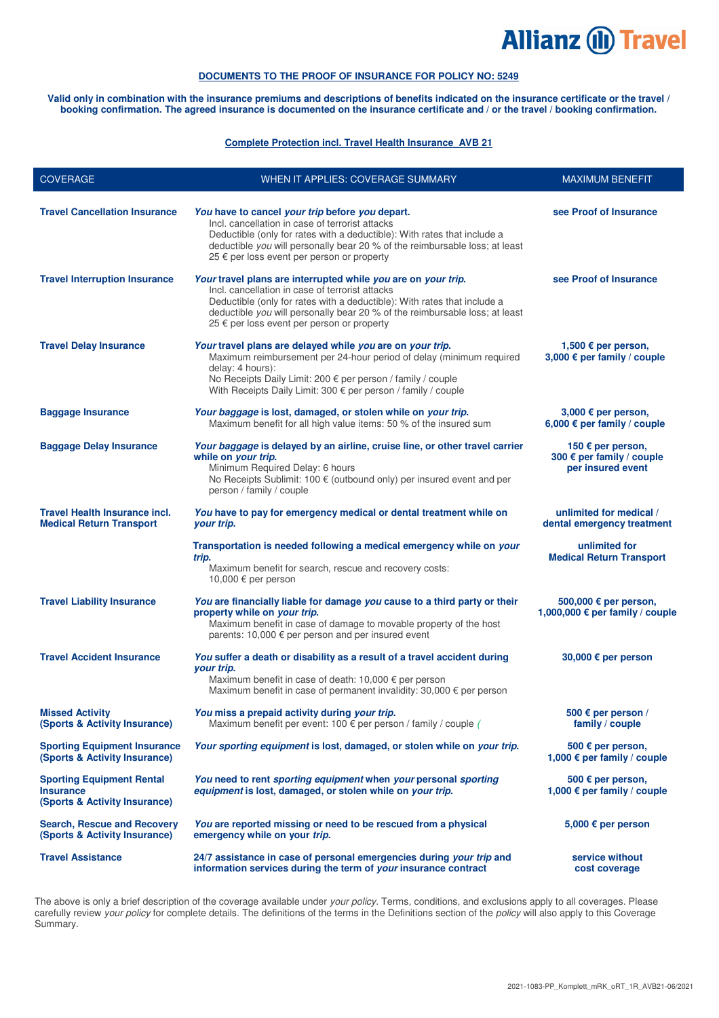# **Allianz (II) Travel**

# **DOCUMENTS TO THE PROOF OF INSURANCE FOR POLICY NO: 5249**

**Valid only in combination with the insurance premiums and descriptions of benefits indicated on the insurance certificate or the travel / booking confirmation. The agreed insurance is documented on the insurance certificate and / or the travel / booking confirmation.** 

#### **Complete Protection incl. Travel Health Insurance\_AVB 21**

| <b>COVERAGE</b>                                                                       | WHEN IT APPLIES: COVERAGE SUMMARY                                                                                                                                                                                                                                                                                         | <b>MAXIMUM BENEFIT</b>                                              |
|---------------------------------------------------------------------------------------|---------------------------------------------------------------------------------------------------------------------------------------------------------------------------------------------------------------------------------------------------------------------------------------------------------------------------|---------------------------------------------------------------------|
| <b>Travel Cancellation Insurance</b>                                                  | You have to cancel your trip before you depart.<br>Incl. cancellation in case of terrorist attacks<br>Deductible (only for rates with a deductible): With rates that include a<br>deductible you will personally bear 20 % of the reimbursable loss; at least<br>25 € per loss event per person or property               | see Proof of Insurance                                              |
| <b>Travel Interruption Insurance</b>                                                  | Your travel plans are interrupted while you are on your trip.<br>Incl. cancellation in case of terrorist attacks<br>Deductible (only for rates with a deductible): With rates that include a<br>deductible you will personally bear 20 % of the reimbursable loss; at least<br>25 € per loss event per person or property | see Proof of Insurance                                              |
| <b>Travel Delay Insurance</b>                                                         | Your travel plans are delayed while you are on your trip.<br>Maximum reimbursement per 24-hour period of delay (minimum required<br>delay: 4 hours):<br>No Receipts Daily Limit: 200 € per person / family / couple<br>With Receipts Daily Limit: 300 € per person / family / couple                                      | 1,500 € per person,<br>3,000 € per family / couple                  |
| <b>Baggage Insurance</b>                                                              | Your baggage is lost, damaged, or stolen while on your trip.<br>Maximum benefit for all high value items: 50 % of the insured sum                                                                                                                                                                                         | 3,000 € per person,<br>6,000 € per family / couple                  |
| <b>Baggage Delay Insurance</b>                                                        | Your baggage is delayed by an airline, cruise line, or other travel carrier<br>while on your trip.<br>Minimum Required Delay: 6 hours<br>No Receipts Sublimit: 100 € (outbound only) per insured event and per<br>person / family / couple                                                                                | 150 € per person,<br>300 € per family / couple<br>per insured event |
| <b>Travel Health Insurance incl.</b><br><b>Medical Return Transport</b>               | You have to pay for emergency medical or dental treatment while on<br>your trip.                                                                                                                                                                                                                                          | unlimited for medical /<br>dental emergency treatment               |
|                                                                                       | Transportation is needed following a medical emergency while on your<br>trip.<br>Maximum benefit for search, rescue and recovery costs:<br>10,000 € per person                                                                                                                                                            | unlimited for<br><b>Medical Return Transport</b>                    |
| <b>Travel Liability Insurance</b>                                                     | You are financially liable for damage you cause to a third party or their<br>property while on your trip.<br>Maximum benefit in case of damage to movable property of the host<br>parents: 10,000 € per person and per insured event                                                                                      | 500,000 € per person,<br>1,000,000 € per family / couple            |
| <b>Travel Accident Insurance</b>                                                      | You suffer a death or disability as a result of a travel accident during<br>your trip.<br>Maximum benefit in case of death: $10,000 \in per$ per person<br>Maximum benefit in case of permanent invalidity: 30,000 € per person                                                                                           | 30,000 € per person                                                 |
| <b>Missed Activity</b><br>(Sports & Activity Insurance)                               | You miss a prepaid activity during your trip.<br>Maximum benefit per event: 100 $\epsilon$ per person / family / couple (                                                                                                                                                                                                 | 500 € per person /<br>family / couple                               |
| <b>Sporting Equipment Insurance</b><br>(Sports & Activity Insurance)                  | Your sporting equipment is lost, damaged, or stolen while on your trip.                                                                                                                                                                                                                                                   | 500 € per person,<br>1,000 € per family / couple                    |
| <b>Sporting Equipment Rental</b><br><b>Insurance</b><br>(Sports & Activity Insurance) | You need to rent sporting equipment when your personal sporting<br>equipment is lost, damaged, or stolen while on your trip.                                                                                                                                                                                              | 500 $\epsilon$ per person,<br>1,000 € per family / couple           |
| <b>Search, Rescue and Recovery</b><br>(Sports & Activity Insurance)                   | You are reported missing or need to be rescued from a physical<br>emergency while on your trip.                                                                                                                                                                                                                           | 5,000 € per person                                                  |
| <b>Travel Assistance</b>                                                              | 24/7 assistance in case of personal emergencies during your trip and<br>information services during the term of your insurance contract                                                                                                                                                                                   | service without<br>cost coverage                                    |

The above is only a brief description of the coverage available under your policy. Terms, conditions, and exclusions apply to all coverages. Please carefully review your policy for complete details. The definitions of the terms in the Definitions section of the policy will also apply to this Coverage Summary.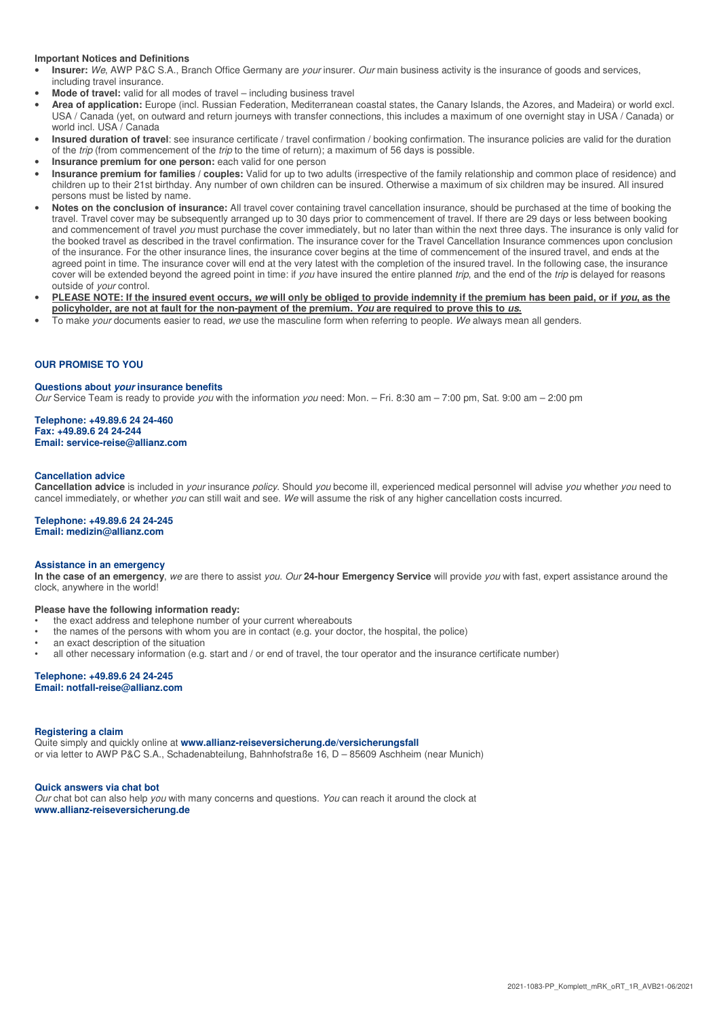#### **Important Notices and Definitions**

- **Insurer:** We, AWP P&C S.A., Branch Office Germany are your insurer. Our main business activity is the insurance of goods and services, including travel insurance.
- **Mode of travel:** valid for all modes of travel including business travel
- **Area of application:** Europe (incl. Russian Federation, Mediterranean coastal states, the Canary Islands, the Azores, and Madeira) or world excl. USA / Canada (yet, on outward and return journeys with transfer connections, this includes a maximum of one overnight stay in USA / Canada) or world incl. USA / Canada
- **Insured duration of travel**: see insurance certificate / travel confirmation / booking confirmation. The insurance policies are valid for the duration of the trip (from commencement of the trip to the time of return); a maximum of 56 days is possible.
- **Insurance premium for one person:** each valid for one person
- **Insurance premium for families / couples:** Valid for up to two adults (irrespective of the family relationship and common place of residence) and children up to their 21st birthday. Any number of own children can be insured. Otherwise a maximum of six children may be insured. All insured persons must be listed by name.
- **Notes on the conclusion of insurance:** All travel cover containing travel cancellation insurance, should be purchased at the time of booking the travel. Travel cover may be subsequently arranged up to 30 days prior to commencement of travel. If there are 29 days or less between booking and commencement of travel you must purchase the cover immediately, but no later than within the next three days. The insurance is only valid for the booked travel as described in the travel confirmation. The insurance cover for the Travel Cancellation Insurance commences upon conclusion of the insurance. For the other insurance lines, the insurance cover begins at the time of commencement of the insured travel, and ends at the agreed point in time. The insurance cover will end at the very latest with the completion of the insured travel. In the following case, the insurance cover will be extended beyond the agreed point in time: if you have insured the entire planned trip, and the end of the trip is delayed for reasons outside of your control.
- **PLEASE NOTE: If the insured event occurs, we will only be obliged to provide indemnity if the premium has been paid, or if you, as the policyholder, are not at fault for the non-payment of the premium. You are required to prove this to us.**
- To make your documents easier to read, we use the masculine form when referring to people. We always mean all genders.

## **OUR PROMISE TO YOU**

#### **Questions about your insurance benefits**

Our Service Team is ready to provide you with the information you need: Mon. – Fri. 8:30 am – 7:00 pm, Sat. 9:00 am – 2:00 pm

**Telephone: +49.89.6 24 24-460 Fax: +49.89.6 24 24-244 Email: service-reise@allianz.com** 

#### **Cancellation advice**

**Cancellation advice** is included in your insurance policy. Should you become ill, experienced medical personnel will advise you whether you need to cancel immediately, or whether you can still wait and see. We will assume the risk of any higher cancellation costs incurred.

#### **Telephone: +49.89.6 24 24-245 Email: medizin@allianz.com**

#### **Assistance in an emergency**

**In the case of an emergency**, we are there to assist you. Our **24-hour Emergency Service** will provide you with fast, expert assistance around the clock, anywhere in the world!

#### **Please have the following information ready:**

- the exact address and telephone number of your current whereabouts
- the names of the persons with whom you are in contact (e.g. your doctor, the hospital, the police)
- an exact description of the situation
- all other necessary information (e.g. start and / or end of travel, the tour operator and the insurance certificate number)

#### **Telephone: +49.89.6 24 24-245 Email: notfall-reise@allianz.com**

#### **Registering a claim**

Quite simply and quickly online at **www.allianz-reiseversicherung.de/versicherungsfall** or via letter to AWP P&C S.A., Schadenabteilung, Bahnhofstraße 16, D – 85609 Aschheim (near Munich)

#### **Quick answers via chat bot**

Our chat bot can also help you with many concerns and questions. You can reach it around the clock at **www.allianz-reiseversicherung.de**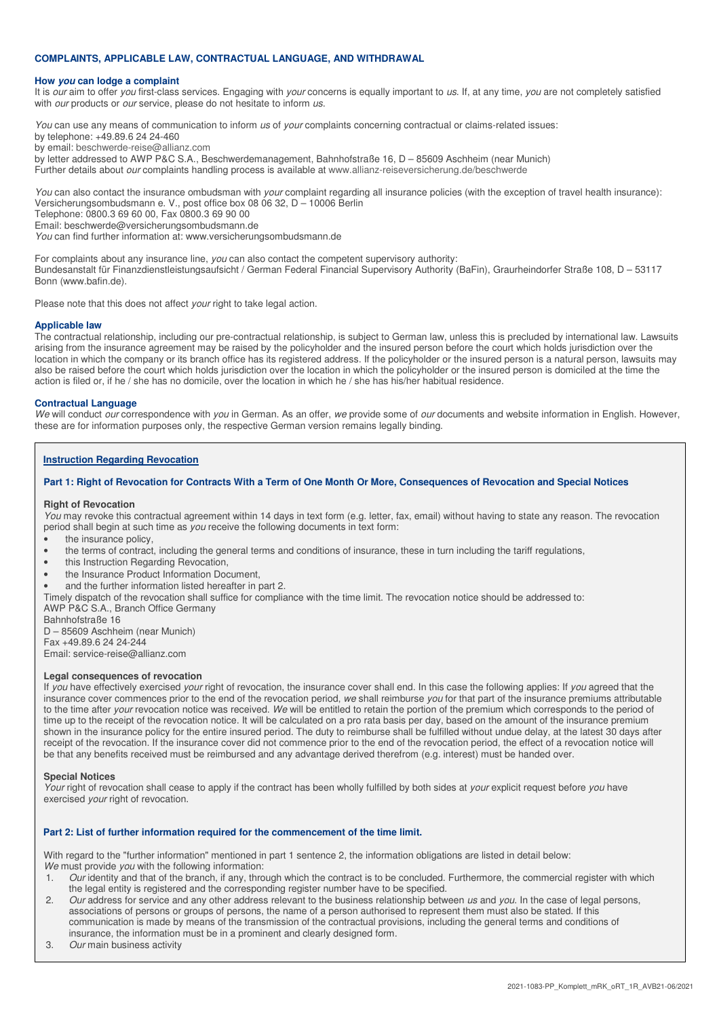## **COMPLAINTS, APPLICABLE LAW, CONTRACTUAL LANGUAGE, AND WITHDRAWAL**

#### **How you can lodge a complaint**

It is our aim to offer you first-class services. Engaging with your concerns is equally important to us. If, at any time, you are not completely satisfied with *our* products or *our* service, please do not hesitate to inform us.

You can use any means of communication to inform us of your complaints concerning contractual or claims-related issues:

by telephone: +49.89.6 24 24-460 by email: beschwerde-reise@allianz.com

by letter addressed to AWP P&C S.A., Beschwerdemanagement, Bahnhofstraße 16, D – 85609 Aschheim (near Munich)

Further details about our complaints handling process is available at www.allianz-reiseversicherung.de/beschwerde

You can also contact the insurance ombudsman with your complaint regarding all insurance policies (with the exception of travel health insurance): Versicherungsombudsmann e. V., post office box 08 06 32, D – 10006 Berlin

Telephone: 0800.3 69 60 00, Fax 0800.3 69 90 00

Email: beschwerde@versicherungsombudsmann.de

You can find further information at: www.versicherungsombudsmann.de

For complaints about any insurance line, you can also contact the competent supervisory authority: Bundesanstalt für Finanzdienstleistungsaufsicht / German Federal Financial Supervisory Authority (BaFin), Graurheindorfer Straße 108, D – 53117 Bonn (www.bafin.de).

Please note that this does not affect *your* right to take legal action.

#### **Applicable law**

The contractual relationship, including our pre-contractual relationship, is subject to German law, unless this is precluded by international law. Lawsuits arising from the insurance agreement may be raised by the policyholder and the insured person before the court which holds jurisdiction over the location in which the company or its branch office has its registered address. If the policyholder or the insured person is a natural person, lawsuits may also be raised before the court which holds jurisdiction over the location in which the policyholder or the insured person is domiciled at the time the action is filed or, if he / she has no domicile, over the location in which he / she has his/her habitual residence.

#### **Contractual Language**

We will conduct our correspondence with you in German. As an offer, we provide some of our documents and website information in English. However, these are for information purposes only, the respective German version remains legally binding.

#### **Instruction Regarding Revocation**

#### **Part 1: Right of Revocation for Contracts With a Term of One Month Or More, Consequences of Revocation and Special Notices**

#### **Right of Revocation**

You may revoke this contractual agreement within 14 days in text form (e.g. letter, fax, email) without having to state any reason. The revocation period shall begin at such time as you receive the following documents in text form:

- the insurance policy,
- the terms of contract, including the general terms and conditions of insurance, these in turn including the tariff regulations,
- this Instruction Regarding Revocation,
- the Insurance Product Information Document,
- and the further information listed hereafter in part 2.

Timely dispatch of the revocation shall suffice for compliance with the time limit. The revocation notice should be addressed to:

AWP P&C S.A., Branch Office Germany

Bahnhofstraße 16 D – 85609 Aschheim (near Munich)

Fax +49.89.6 24 24-244 Email: service-reise@allianz.com

#### **Legal consequences of revocation**

If you have effectively exercised your right of revocation, the insurance cover shall end. In this case the following applies: If you agreed that the insurance cover commences prior to the end of the revocation period, we shall reimburse you for that part of the insurance premiums attributable to the time after your revocation notice was received. We will be entitled to retain the portion of the premium which corresponds to the period of time up to the receipt of the revocation notice. It will be calculated on a pro rata basis per day, based on the amount of the insurance premium shown in the insurance policy for the entire insured period. The duty to reimburse shall be fulfilled without undue delay, at the latest 30 days after receipt of the revocation. If the insurance cover did not commence prior to the end of the revocation period, the effect of a revocation notice will be that any benefits received must be reimbursed and any advantage derived therefrom (e.g. interest) must be handed over.

#### **Special Notices**

Your right of revocation shall cease to apply if the contract has been wholly fulfilled by both sides at your explicit request before you have exercised *your* right of revocation.

#### **Part 2: List of further information required for the commencement of the time limit.**

With regard to the "further information" mentioned in part 1 sentence 2, the information obligations are listed in detail below: We must provide you with the following information:

- 1. Our identity and that of the branch, if any, through which the contract is to be concluded. Furthermore, the commercial register with which the legal entity is registered and the corresponding register number have to be specified.
- 2. Our address for service and any other address relevant to the business relationship between us and you. In the case of legal persons, associations of persons or groups of persons, the name of a person authorised to represent them must also be stated. If this communication is made by means of the transmission of the contractual provisions, including the general terms and conditions of insurance, the information must be in a prominent and clearly designed form.
- 3. Our main business activity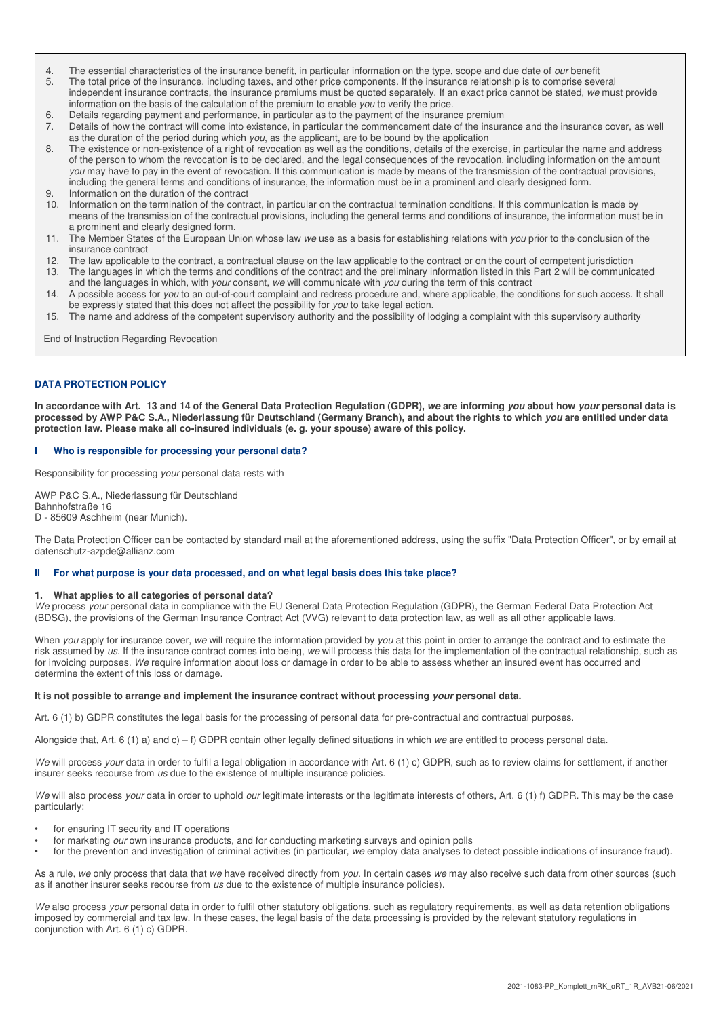- 4. The essential characteristics of the insurance benefit, in particular information on the type, scope and due date of *our* benefit 5. The total price of the insurance relationship is to comprise seven
- The total price of the insurance, including taxes, and other price components. If the insurance relationship is to comprise several independent insurance contracts, the insurance premiums must be quoted separately. If an exact price cannot be stated, we must provide information on the basis of the calculation of the premium to enable you to verify the price.
- 6. Details regarding payment and performance, in particular as to the payment of the insurance premium
- 7. Details of how the contract will come into existence, in particular the commencement date of the insurance and the insurance cover, as well as the duration of the period during which you, as the applicant, are to be bound by the application
- 8. The existence or non-existence of a right of revocation as well as the conditions, details of the exercise, in particular the name and address of the person to whom the revocation is to be declared, and the legal consequences of the revocation, including information on the amount you may have to pay in the event of revocation. If this communication is made by means of the transmission of the contractual provisions, including the general terms and conditions of insurance, the information must be in a prominent and clearly designed form.
- 9. Information on the duration of the contract
- 10. Information on the termination of the contract, in particular on the contractual termination conditions. If this communication is made by means of the transmission of the contractual provisions, including the general terms and conditions of insurance, the information must be in a prominent and clearly designed form.
- 11. The Member States of the European Union whose law we use as a basis for establishing relations with you prior to the conclusion of the insurance contract
- 12. The law applicable to the contract, a contractual clause on the law applicable to the contract or on the court of competent jurisdiction
- 13. The languages in which the terms and conditions of the contract and the preliminary information listed in this Part 2 will be communicated and the languages in which, with your consent, we will communicate with you during the term of this contract
- 14. A possible access for you to an out-of-court complaint and redress procedure and, where applicable, the conditions for such access. It shall be expressly stated that this does not affect the possibility for you to take legal action.
- 15. The name and address of the competent supervisory authority and the possibility of lodging a complaint with this supervisory authority

End of Instruction Regarding Revocation

#### **DATA PROTECTION POLICY**

**In accordance with Art. 13 and 14 of the General Data Protection Regulation (GDPR), we are informing you about how your personal data is processed by AWP P&C S.A., Niederlassung für Deutschland (Germany Branch), and about the rights to which you are entitled under data protection law. Please make all co-insured individuals (e. g. your spouse) aware of this policy.** 

#### **I Who is responsible for processing your personal data?**

Responsibility for processing your personal data rests with

AWP P&C S.A., Niederlassung für Deutschland Bahnhofstraße 16 D - 85609 Aschheim (near Munich).

The Data Protection Officer can be contacted by standard mail at the aforementioned address, using the suffix "Data Protection Officer", or by email at datenschutz-azpde@allianz.com

#### **II For what purpose is your data processed, and on what legal basis does this take place?**

#### **1. What applies to all categories of personal data?**

We process your personal data in compliance with the EU General Data Protection Regulation (GDPR), the German Federal Data Protection Act (BDSG), the provisions of the German Insurance Contract Act (VVG) relevant to data protection law, as well as all other applicable laws.

When you apply for insurance cover, we will require the information provided by you at this point in order to arrange the contract and to estimate the risk assumed by us. If the insurance contract comes into being, we will process this data for the implementation of the contractual relationship, such as for invoicing purposes. We require information about loss or damage in order to be able to assess whether an insured event has occurred and determine the extent of this loss or damage.

#### **It is not possible to arrange and implement the insurance contract without processing your personal data.**

Art. 6 (1) b) GDPR constitutes the legal basis for the processing of personal data for pre-contractual and contractual purposes.

Alongside that, Art. 6 (1) a) and c) – f) GDPR contain other legally defined situations in which we are entitled to process personal data.

We will process your data in order to fulfil a legal obligation in accordance with Art. 6 (1) c) GDPR, such as to review claims for settlement, if another insurer seeks recourse from us due to the existence of multiple insurance policies.

We will also process your data in order to uphold our legitimate interests or the legitimate interests of others, Art. 6 (1) f) GDPR. This may be the case particularly:

- for ensuring IT security and IT operations
- for marketing our own insurance products, and for conducting marketing surveys and opinion polls
- for the prevention and investigation of criminal activities (in particular, we employ data analyses to detect possible indications of insurance fraud).

As a rule, we only process that data that we have received directly from you. In certain cases we may also receive such data from other sources (such as if another insurer seeks recourse from us due to the existence of multiple insurance policies).

We also process your personal data in order to fulfil other statutory obligations, such as regulatory requirements, as well as data retention obligations imposed by commercial and tax law. In these cases, the legal basis of the data processing is provided by the relevant statutory regulations in conjunction with Art. 6 (1) c) GDPR.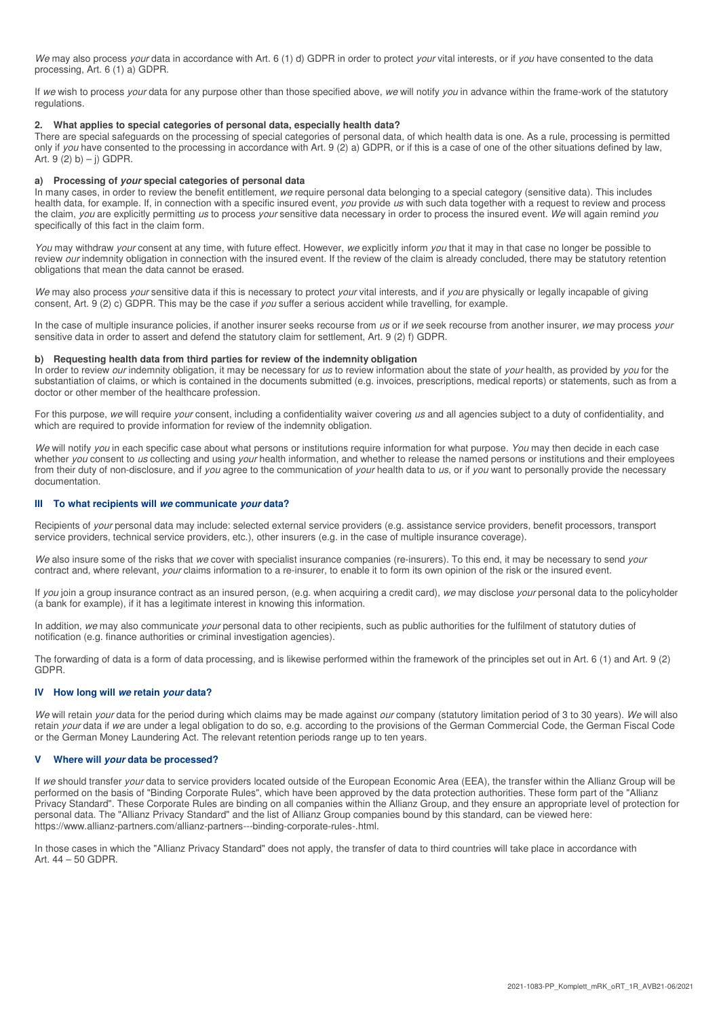We may also process your data in accordance with Art. 6 (1) d) GDPR in order to protect your vital interests, or if you have consented to the data processing, Art. 6 (1) a) GDPR.

If we wish to process your data for any purpose other than those specified above, we will notify you in advance within the frame-work of the statutory regulations.

#### **2. What applies to special categories of personal data, especially health data?**

There are special safeguards on the processing of special categories of personal data, of which health data is one. As a rule, processing is permitted only if you have consented to the processing in accordance with Art. 9 (2) a) GDPR, or if this is a case of one of the other situations defined by law, Art.  $9(2) b$ ) – j) GDPR.

## **a) Processing of your special categories of personal data**

In many cases, in order to review the benefit entitlement, we require personal data belonging to a special category (sensitive data). This includes health data, for example. If, in connection with a specific insured event, you provide us with such data together with a request to review and process the claim, you are explicitly permitting us to process your sensitive data necessary in order to process the insured event. We will again remind you specifically of this fact in the claim form.

You may withdraw your consent at any time, with future effect. However, we explicitly inform you that it may in that case no longer be possible to review our indemnity obligation in connection with the insured event. If the review of the claim is already concluded, there may be statutory retention obligations that mean the data cannot be erased.

We may also process your sensitive data if this is necessary to protect your vital interests, and if you are physically or legally incapable of giving consent, Art. 9 (2) c) GDPR. This may be the case if you suffer a serious accident while travelling, for example.

In the case of multiple insurance policies, if another insurer seeks recourse from us or if we seek recourse from another insurer, we may process your sensitive data in order to assert and defend the statutory claim for settlement, Art. 9 (2) f) GDPR.

#### **b) Requesting health data from third parties for review of the indemnity obligation**

In order to review our indemnity obligation, it may be necessary for us to review information about the state of your health, as provided by you for the substantiation of claims, or which is contained in the documents submitted (e.g. invoices, prescriptions, medical reports) or statements, such as from a doctor or other member of the healthcare profession.

For this purpose, we will require your consent, including a confidentiality waiver covering us and all agencies subject to a duty of confidentiality, and which are required to provide information for review of the indemnity obligation.

We will notify you in each specific case about what persons or institutions require information for what purpose. You may then decide in each case whether you consent to us collecting and using your health information, and whether to release the named persons or institutions and their employees from their duty of non-disclosure, and if you agree to the communication of your health data to us, or if you want to personally provide the necessary documentation.

#### **III To what recipients will we communicate your data?**

Recipients of your personal data may include: selected external service providers (e.g. assistance service providers, benefit processors, transport service providers, technical service providers, etc.), other insurers (e.g. in the case of multiple insurance coverage).

We also insure some of the risks that we cover with specialist insurance companies (re-insurers). To this end, it may be necessary to send your contract and, where relevant, *your* claims information to a re-insurer, to enable it to form its own opinion of the risk or the insured event.

If you join a group insurance contract as an insured person, (e.g. when acquiring a credit card), we may disclose your personal data to the policyholder (a bank for example), if it has a legitimate interest in knowing this information.

In addition, we may also communicate your personal data to other recipients, such as public authorities for the fulfilment of statutory duties of notification (e.g. finance authorities or criminal investigation agencies).

The forwarding of data is a form of data processing, and is likewise performed within the framework of the principles set out in Art. 6 (1) and Art. 9 (2) GDPR.

#### **IV How long will we retain your data?**

We will retain your data for the period during which claims may be made against our company (statutory limitation period of 3 to 30 years). We will also retain your data if we are under a legal obligation to do so, e.g. according to the provisions of the German Commercial Code, the German Fiscal Code or the German Money Laundering Act. The relevant retention periods range up to ten years.

### **V Where will your data be processed?**

If we should transfer your data to service providers located outside of the European Economic Area (EEA), the transfer within the Allianz Group will be performed on the basis of "Binding Corporate Rules", which have been approved by the data protection authorities. These form part of the "Allianz Privacy Standard". These Corporate Rules are binding on all companies within the Allianz Group, and they ensure an appropriate level of protection for personal data. The "Allianz Privacy Standard" and the list of Allianz Group companies bound by this standard, can be viewed here: https://www.allianz-partners.com/allianz-partners---binding-corporate-rules-.html.

In those cases in which the "Allianz Privacy Standard" does not apply, the transfer of data to third countries will take place in accordance with Art. 44 – 50 GDPR.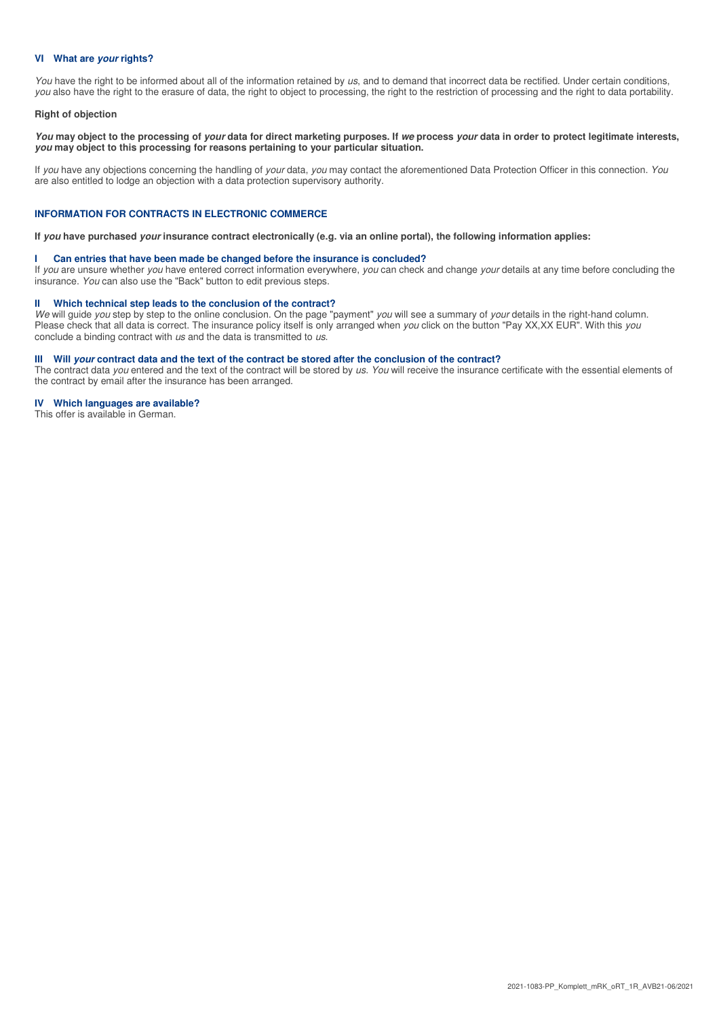#### **VI What are your rights?**

You have the right to be informed about all of the information retained by us, and to demand that incorrect data be rectified. Under certain conditions, you also have the right to the erasure of data, the right to object to processing, the right to the restriction of processing and the right to data portability.

#### **Right of objection**

**You may object to the processing of your data for direct marketing purposes. If we process your data in order to protect legitimate interests, you may object to this processing for reasons pertaining to your particular situation.** 

If you have any objections concerning the handling of your data, you may contact the aforementioned Data Protection Officer in this connection. You are also entitled to lodge an objection with a data protection supervisory authority.

#### **INFORMATION FOR CONTRACTS IN ELECTRONIC COMMERCE**

**If you have purchased your insurance contract electronically (e.g. via an online portal), the following information applies:** 

#### **I Can entries that have been made be changed before the insurance is concluded?**

If you are unsure whether you have entered correct information everywhere, you can check and change your details at any time before concluding the insurance. You can also use the "Back" button to edit previous steps.

#### **II Which technical step leads to the conclusion of the contract?**

We will guide you step by step to the online conclusion. On the page "payment" you will see a summary of your details in the right-hand column. Please check that all data is correct. The insurance policy itself is only arranged when you click on the button "Pay XX, XX EUR". With this you conclude a binding contract with us and the data is transmitted to us.

#### **III** Will *your* contract data and the text of the contract be stored after the conclusion of the contract?

The contract data you entered and the text of the contract will be stored by us. You will receive the insurance certificate with the essential elements of the contract by email after the insurance has been arranged.

#### **IV Which languages are available?**

This offer is available in German.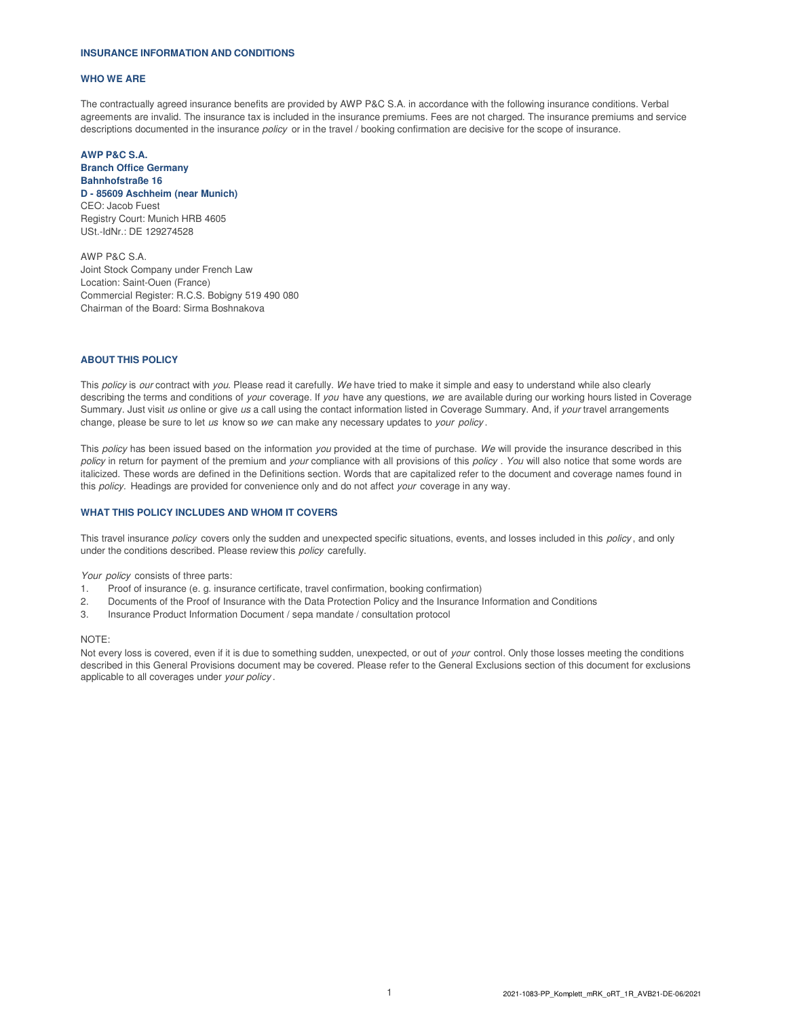#### **INSURANCE INFORMATION AND CONDITIONS**

#### **WHO WE ARE**

The contractually agreed insurance benefits are provided by AWP P&C S.A. in accordance with the following insurance conditions. Verbal agreements are invalid. The insurance tax is included in the insurance premiums. Fees are not charged. The insurance premiums and service descriptions documented in the insurance *policy* or in the travel / booking confirmation are decisive for the scope of insurance.

#### **AWP P&C S.A. Branch Office Germany Bahnhofstraße 16 D - 85609 Aschheim (near Munich)** CEO: Jacob Fuest Registry Court: Munich HRB 4605 USt.-IdNr.: DE 129274528

AWP P&C S.A. Joint Stock Company under French Law Location: Saint-Ouen (France) Commercial Register: R.C.S. Bobigny 519 490 080 Chairman of the Board: Sirma Boshnakova

#### **ABOUT THIS POLICY**

This policy is our contract with you. Please read it carefully. We have tried to make it simple and easy to understand while also clearly describing the terms and conditions of your coverage. If you have any questions, we are available during our working hours listed in Coverage Summary. Just visit us online or give us a call using the contact information listed in Coverage Summary. And, if your travel arrangements change, please be sure to let us know so we can make any necessary updates to your policy.

This policy has been issued based on the information you provided at the time of purchase. We will provide the insurance described in this policy in return for payment of the premium and your compliance with all provisions of this policy . You will also notice that some words are italicized. These words are defined in the Definitions section. Words that are capitalized refer to the document and coverage names found in this policy. Headings are provided for convenience only and do not affect your coverage in any way.

#### **WHAT THIS POLICY INCLUDES AND WHOM IT COVERS**

This travel insurance policy covers only the sudden and unexpected specific situations, events, and losses included in this policy, and only under the conditions described. Please review this policy carefully.

Your policy consists of three parts:

- 1. Proof of insurance (e. g. insurance certificate, travel confirmation, booking confirmation)
- 2. Documents of the Proof of Insurance with the Data Protection Policy and the Insurance Information and Conditions
- 3. Insurance Product Information Document / sepa mandate / consultation protocol

#### NOTE:

Not every loss is covered, even if it is due to something sudden, unexpected, or out of your control. Only those losses meeting the conditions described in this General Provisions document may be covered. Please refer to the General Exclusions section of this document for exclusions applicable to all coverages under your policy .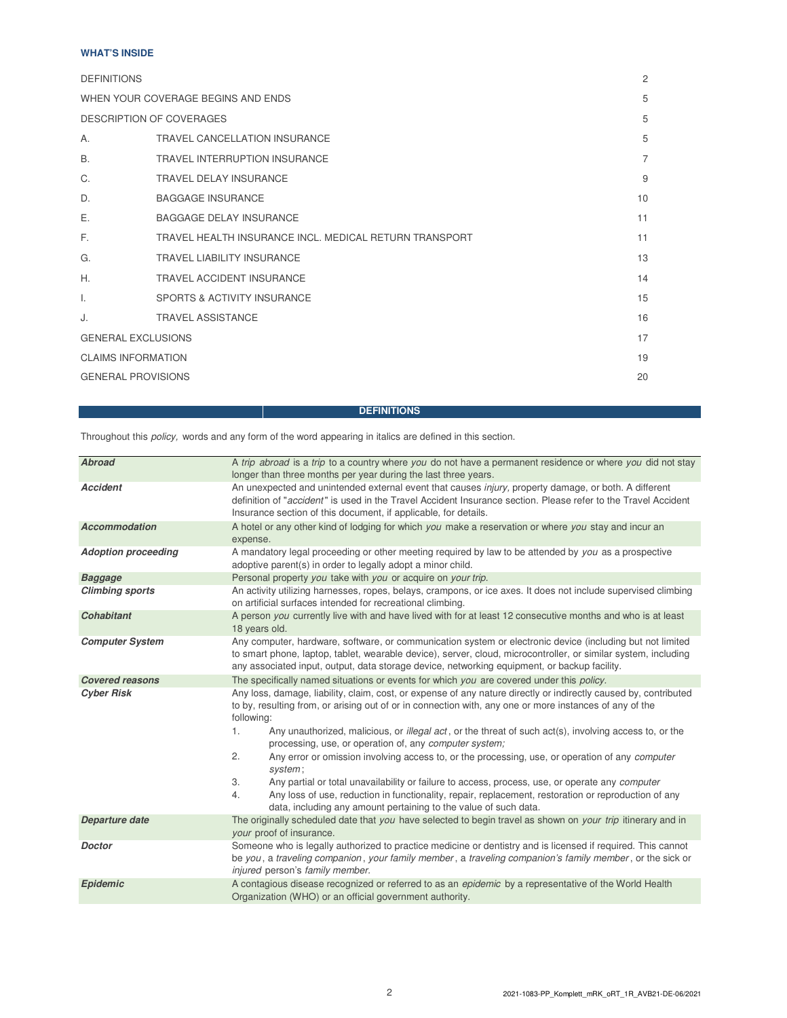# **WHAT'S INSIDE**

| <b>DEFINITIONS</b>                 |                                                        | $\overline{c}$ |
|------------------------------------|--------------------------------------------------------|----------------|
| WHEN YOUR COVERAGE BEGINS AND ENDS |                                                        | 5              |
| DESCRIPTION OF COVERAGES           |                                                        | 5              |
| А.                                 | TRAVEL CANCELLATION INSURANCE                          | 5              |
| B.                                 | <b>TRAVEL INTERRUPTION INSURANCE</b>                   | $\overline{7}$ |
| C.                                 | TRAVEL DELAY INSURANCE                                 | 9              |
| D.                                 | <b>BAGGAGE INSURANCE</b>                               | 10             |
| Е.                                 | <b>BAGGAGE DELAY INSURANCE</b>                         | 11             |
| E.                                 | TRAVEL HEALTH INSURANCE INCL. MEDICAL RETURN TRANSPORT | 11             |
| G.                                 | <b>TRAVEL LIABILITY INSURANCE</b>                      | 13             |
| Η.                                 | <b>TRAVEL ACCIDENT INSURANCE</b>                       | 14             |
| I.                                 | SPORTS & ACTIVITY INSURANCE                            | 15             |
| J.                                 | <b>TRAVEL ASSISTANCE</b>                               | 16             |
| <b>GENERAL EXCLUSIONS</b>          |                                                        | 17             |
|                                    | <b>CLAIMS INFORMATION</b>                              |                |
| <b>GENERAL PROVISIONS</b>          |                                                        | 20             |

# **DEFINITIONS**

Throughout this policy, words and any form of the word appearing in italics are defined in this section.

| <b>Abroad</b>              | A trip abroad is a trip to a country where you do not have a permanent residence or where you did not stay<br>longer than three months per year during the last three years.                                                                                                                                                |  |  |  |
|----------------------------|-----------------------------------------------------------------------------------------------------------------------------------------------------------------------------------------------------------------------------------------------------------------------------------------------------------------------------|--|--|--|
| <b>Accident</b>            | An unexpected and unintended external event that causes injury, property damage, or both. A different<br>definition of "accident" is used in the Travel Accident Insurance section. Please refer to the Travel Accident<br>Insurance section of this document, if applicable, for details.                                  |  |  |  |
| <b>Accommodation</b>       | A hotel or any other kind of lodging for which you make a reservation or where you stay and incur an<br>expense.                                                                                                                                                                                                            |  |  |  |
| <b>Adoption proceeding</b> | A mandatory legal proceeding or other meeting required by law to be attended by you as a prospective<br>adoptive parent(s) in order to legally adopt a minor child.                                                                                                                                                         |  |  |  |
| <b>Baggage</b>             | Personal property you take with you or acquire on your trip.                                                                                                                                                                                                                                                                |  |  |  |
| <b>Climbing sports</b>     | An activity utilizing harnesses, ropes, belays, crampons, or ice axes. It does not include supervised climbing<br>on artificial surfaces intended for recreational climbing.                                                                                                                                                |  |  |  |
| <b>Cohabitant</b>          | A person you currently live with and have lived with for at least 12 consecutive months and who is at least<br>18 years old.                                                                                                                                                                                                |  |  |  |
| <b>Computer System</b>     | Any computer, hardware, software, or communication system or electronic device (including but not limited<br>to smart phone, laptop, tablet, wearable device), server, cloud, microcontroller, or similar system, including<br>any associated input, output, data storage device, networking equipment, or backup facility. |  |  |  |
| <b>Covered reasons</b>     | The specifically named situations or events for which you are covered under this policy.                                                                                                                                                                                                                                    |  |  |  |
| <b>Cyber Risk</b>          | Any loss, damage, liability, claim, cost, or expense of any nature directly or indirectly caused by, contributed<br>to by, resulting from, or arising out of or in connection with, any one or more instances of any of the<br>following:                                                                                   |  |  |  |
|                            | Any unauthorized, malicious, or <i>illegal act</i> , or the threat of such act(s), involving access to, or the<br>1.<br>processing, use, or operation of, any computer system;                                                                                                                                              |  |  |  |
|                            | 2.<br>Any error or omission involving access to, or the processing, use, or operation of any <i>computer</i><br>system;                                                                                                                                                                                                     |  |  |  |
|                            | 3.<br>Any partial or total unavailability or failure to access, process, use, or operate any <i>computer</i><br>Any loss of use, reduction in functionality, repair, replacement, restoration or reproduction of any<br>4.<br>data, including any amount pertaining to the value of such data.                              |  |  |  |
| Departure date             | The originally scheduled date that you have selected to begin travel as shown on your trip itinerary and in<br>your proof of insurance.                                                                                                                                                                                     |  |  |  |
| <b>Doctor</b>              | Someone who is legally authorized to practice medicine or dentistry and is licensed if required. This cannot<br>be you, a traveling companion, your family member, a traveling companion's family member, or the sick or<br>injured person's family member.                                                                 |  |  |  |
| Epidemic                   | A contagious disease recognized or referred to as an <i>epidemic</i> by a representative of the World Health<br>Organization (WHO) or an official government authority.                                                                                                                                                     |  |  |  |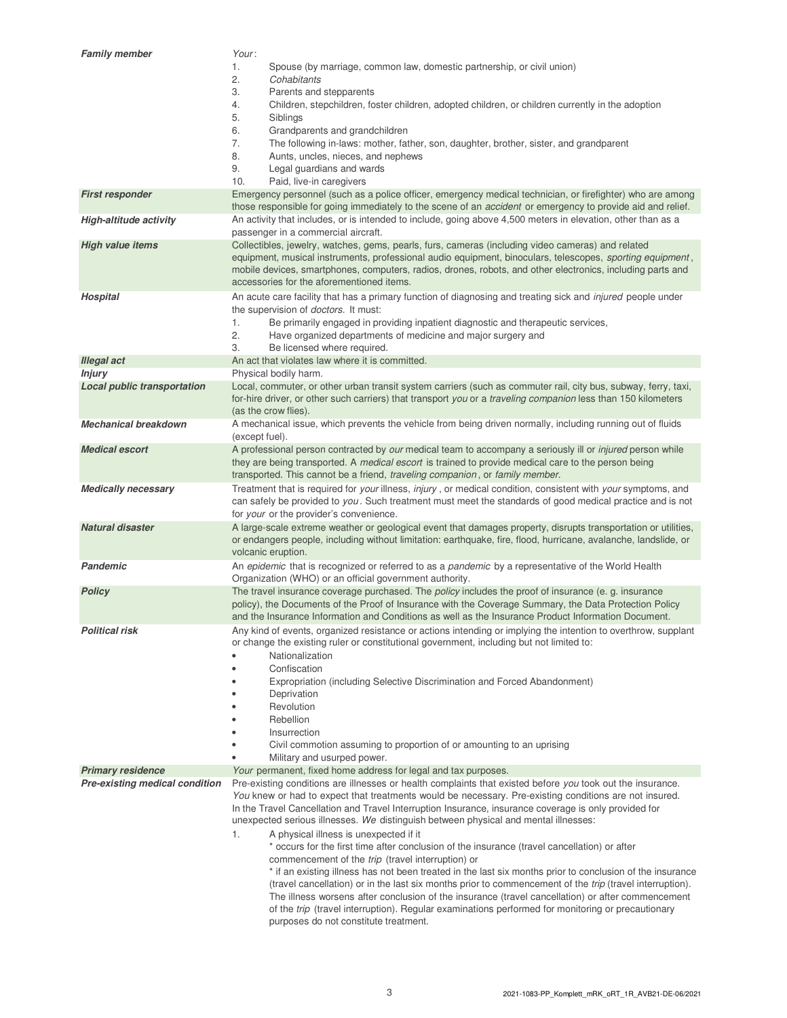| <b>Family member</b>                  | Your:                                                                                                                                                                                                                      |  |  |  |
|---------------------------------------|----------------------------------------------------------------------------------------------------------------------------------------------------------------------------------------------------------------------------|--|--|--|
|                                       | 1.<br>Spouse (by marriage, common law, domestic partnership, or civil union)                                                                                                                                               |  |  |  |
|                                       | 2.<br>Cohabitants                                                                                                                                                                                                          |  |  |  |
|                                       | 3.<br>Parents and stepparents                                                                                                                                                                                              |  |  |  |
|                                       | Children, stepchildren, foster children, adopted children, or children currently in the adoption<br>4.                                                                                                                     |  |  |  |
|                                       | 5.<br>Siblings                                                                                                                                                                                                             |  |  |  |
|                                       | 6.<br>Grandparents and grandchildren                                                                                                                                                                                       |  |  |  |
|                                       | 7.<br>The following in-laws: mother, father, son, daughter, brother, sister, and grandparent                                                                                                                               |  |  |  |
|                                       | 8.<br>Aunts, uncles, nieces, and nephews                                                                                                                                                                                   |  |  |  |
|                                       | 9.<br>Legal guardians and wards                                                                                                                                                                                            |  |  |  |
|                                       | 10.<br>Paid, live-in caregivers                                                                                                                                                                                            |  |  |  |
| <b>First responder</b>                | Emergency personnel (such as a police officer, emergency medical technician, or firefighter) who are among                                                                                                                 |  |  |  |
|                                       | those responsible for going immediately to the scene of an <i>accident</i> or emergency to provide aid and relief.                                                                                                         |  |  |  |
| <b>High-altitude activity</b>         | An activity that includes, or is intended to include, going above 4,500 meters in elevation, other than as a<br>passenger in a commercial aircraft.                                                                        |  |  |  |
| <b>High value items</b>               | Collectibles, jewelry, watches, gems, pearls, furs, cameras (including video cameras) and related                                                                                                                          |  |  |  |
|                                       | equipment, musical instruments, professional audio equipment, binoculars, telescopes, sporting equipment,                                                                                                                  |  |  |  |
|                                       | mobile devices, smartphones, computers, radios, drones, robots, and other electronics, including parts and                                                                                                                 |  |  |  |
|                                       | accessories for the aforementioned items.                                                                                                                                                                                  |  |  |  |
| <b>Hospital</b>                       | An acute care facility that has a primary function of diagnosing and treating sick and <i>injured</i> people under                                                                                                         |  |  |  |
|                                       | the supervision of <i>doctors</i> . It must:                                                                                                                                                                               |  |  |  |
|                                       | 1.<br>Be primarily engaged in providing inpatient diagnostic and therapeutic services,                                                                                                                                     |  |  |  |
|                                       | 2.<br>Have organized departments of medicine and major surgery and                                                                                                                                                         |  |  |  |
|                                       | 3.<br>Be licensed where required.                                                                                                                                                                                          |  |  |  |
| <b>Illegal act</b>                    | An act that violates law where it is committed.                                                                                                                                                                            |  |  |  |
| <b>Injury</b>                         | Physical bodily harm.                                                                                                                                                                                                      |  |  |  |
| <b>Local public transportation</b>    | Local, commuter, or other urban transit system carriers (such as commuter rail, city bus, subway, ferry, taxi,                                                                                                             |  |  |  |
|                                       | for-hire driver, or other such carriers) that transport you or a traveling companion less than 150 kilometers                                                                                                              |  |  |  |
|                                       | (as the crow flies).                                                                                                                                                                                                       |  |  |  |
| <b>Mechanical breakdown</b>           | A mechanical issue, which prevents the vehicle from being driven normally, including running out of fluids                                                                                                                 |  |  |  |
|                                       | (except fuel).                                                                                                                                                                                                             |  |  |  |
| <b>Medical escort</b>                 | A professional person contracted by our medical team to accompany a seriously ill or injured person while                                                                                                                  |  |  |  |
|                                       | they are being transported. A medical escort is trained to provide medical care to the person being                                                                                                                        |  |  |  |
|                                       | transported. This cannot be a friend, traveling companion, or family member.                                                                                                                                               |  |  |  |
| Medically necessary                   | Treatment that is required for your illness, injury, or medical condition, consistent with your symptoms, and<br>can safely be provided to you. Such treatment must meet the standards of good medical practice and is not |  |  |  |
|                                       | for your or the provider's convenience.                                                                                                                                                                                    |  |  |  |
| <b>Natural disaster</b>               | A large-scale extreme weather or geological event that damages property, disrupts transportation or utilities,                                                                                                             |  |  |  |
|                                       | or endangers people, including without limitation: earthquake, fire, flood, hurricane, avalanche, landslide, or                                                                                                            |  |  |  |
|                                       | volcanic eruption.                                                                                                                                                                                                         |  |  |  |
| <b>Pandemic</b>                       | An epidemic that is recognized or referred to as a pandemic by a representative of the World Health                                                                                                                        |  |  |  |
|                                       | Organization (WHO) or an official government authority.                                                                                                                                                                    |  |  |  |
| <b>Policy</b>                         | The travel insurance coverage purchased. The policy includes the proof of insurance (e. g. insurance                                                                                                                       |  |  |  |
|                                       | policy), the Documents of the Proof of Insurance with the Coverage Summary, the Data Protection Policy                                                                                                                     |  |  |  |
|                                       | and the Insurance Information and Conditions as well as the Insurance Product Information Document.                                                                                                                        |  |  |  |
| Political risk                        | Any kind of events, organized resistance or actions intending or implying the intention to overthrow, supplant                                                                                                             |  |  |  |
|                                       | or change the existing ruler or constitutional government, including but not limited to:                                                                                                                                   |  |  |  |
|                                       | Nationalization                                                                                                                                                                                                            |  |  |  |
|                                       | Confiscation                                                                                                                                                                                                               |  |  |  |
|                                       | Expropriation (including Selective Discrimination and Forced Abandonment)                                                                                                                                                  |  |  |  |
|                                       | Deprivation                                                                                                                                                                                                                |  |  |  |
|                                       | Revolution                                                                                                                                                                                                                 |  |  |  |
|                                       | Rebellion                                                                                                                                                                                                                  |  |  |  |
|                                       | Insurrection<br>Civil commotion assuming to proportion of or amounting to an uprising                                                                                                                                      |  |  |  |
|                                       | Military and usurped power.                                                                                                                                                                                                |  |  |  |
| <b>Primary residence</b>              | Your permanent, fixed home address for legal and tax purposes.                                                                                                                                                             |  |  |  |
| <b>Pre-existing medical condition</b> | Pre-existing conditions are illnesses or health complaints that existed before you took out the insurance.                                                                                                                 |  |  |  |
|                                       | You knew or had to expect that treatments would be necessary. Pre-existing conditions are not insured.                                                                                                                     |  |  |  |
|                                       | In the Travel Cancellation and Travel Interruption Insurance, insurance coverage is only provided for                                                                                                                      |  |  |  |
|                                       | unexpected serious illnesses. We distinguish between physical and mental illnesses:                                                                                                                                        |  |  |  |
|                                       | 1.<br>A physical illness is unexpected if it                                                                                                                                                                               |  |  |  |
|                                       | * occurs for the first time after conclusion of the insurance (travel cancellation) or after                                                                                                                               |  |  |  |
|                                       | commencement of the trip (travel interruption) or                                                                                                                                                                          |  |  |  |
|                                       | * if an existing illness has not been treated in the last six months prior to conclusion of the insurance                                                                                                                  |  |  |  |
|                                       | (travel cancellation) or in the last six months prior to commencement of the trip (travel interruption).                                                                                                                   |  |  |  |
|                                       | The illness worsens after conclusion of the insurance (travel cancellation) or after commencement                                                                                                                          |  |  |  |
|                                       | of the trip (travel interruption). Regular examinations performed for monitoring or precautionary                                                                                                                          |  |  |  |
|                                       | purposes do not constitute treatment.                                                                                                                                                                                      |  |  |  |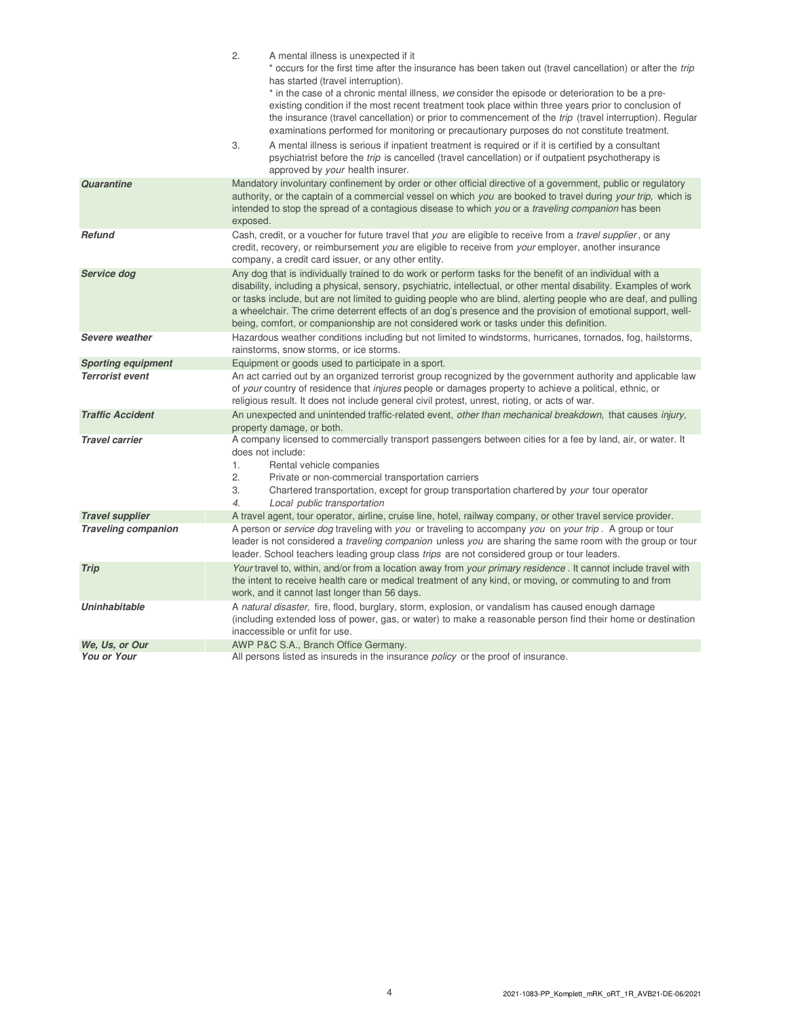|                                                      | 2.<br>A mental illness is unexpected if it<br>* occurs for the first time after the insurance has been taken out (travel cancellation) or after the <i>trip</i><br>has started (travel interruption).<br>* in the case of a chronic mental illness, we consider the episode or deterioration to be a pre-<br>existing condition if the most recent treatment took place within three years prior to conclusion of<br>the insurance (travel cancellation) or prior to commencement of the <i>trip</i> (travel interruption). Regular<br>examinations performed for monitoring or precautionary purposes do not constitute treatment. |  |  |  |
|------------------------------------------------------|-------------------------------------------------------------------------------------------------------------------------------------------------------------------------------------------------------------------------------------------------------------------------------------------------------------------------------------------------------------------------------------------------------------------------------------------------------------------------------------------------------------------------------------------------------------------------------------------------------------------------------------|--|--|--|
|                                                      | 3.<br>A mental illness is serious if inpatient treatment is required or if it is certified by a consultant<br>psychiatrist before the <i>trip</i> is cancelled (travel cancellation) or if outpatient psychotherapy is<br>approved by your health insurer.                                                                                                                                                                                                                                                                                                                                                                          |  |  |  |
| Quarantine                                           | Mandatory involuntary confinement by order or other official directive of a government, public or regulatory<br>authority, or the captain of a commercial vessel on which you are booked to travel during your trip, which is<br>intended to stop the spread of a contagious disease to which you or a <i>traveling companion</i> has been<br>exposed.                                                                                                                                                                                                                                                                              |  |  |  |
| <b>Refund</b>                                        | Cash, credit, or a voucher for future travel that you are eligible to receive from a <i>travel supplier</i> , or any<br>credit, recovery, or reimbursement you are eligible to receive from your employer, another insurance<br>company, a credit card issuer, or any other entity.                                                                                                                                                                                                                                                                                                                                                 |  |  |  |
| Service dog                                          | Any dog that is individually trained to do work or perform tasks for the benefit of an individual with a<br>disability, including a physical, sensory, psychiatric, intellectual, or other mental disability. Examples of work<br>or tasks include, but are not limited to guiding people who are blind, alerting people who are deaf, and pulling<br>a wheelchair. The crime deterrent effects of an dog's presence and the provision of emotional support, well-<br>being, comfort, or companionship are not considered work or tasks under this definition.                                                                      |  |  |  |
| Severe weather                                       | Hazardous weather conditions including but not limited to windstorms, hurricanes, tornados, fog, hailstorms,<br>rainstorms, snow storms, or ice storms.                                                                                                                                                                                                                                                                                                                                                                                                                                                                             |  |  |  |
| <b>Sporting equipment</b>                            | Equipment or goods used to participate in a sport.                                                                                                                                                                                                                                                                                                                                                                                                                                                                                                                                                                                  |  |  |  |
|                                                      | An act carried out by an organized terrorist group recognized by the government authority and applicable law<br>of your country of residence that injures people or damages property to achieve a political, ethnic, or<br>religious result. It does not include general civil protest, unrest, rioting, or acts of war.                                                                                                                                                                                                                                                                                                            |  |  |  |
| <b>Terrorist event</b>                               |                                                                                                                                                                                                                                                                                                                                                                                                                                                                                                                                                                                                                                     |  |  |  |
| <b>Traffic Accident</b>                              | An unexpected and unintended traffic-related event, other than mechanical breakdown, that causes injury,<br>property damage, or both.                                                                                                                                                                                                                                                                                                                                                                                                                                                                                               |  |  |  |
| <b>Travel carrier</b>                                | A company licensed to commercially transport passengers between cities for a fee by land, air, or water. It<br>does not include:<br>1.<br>Rental vehicle companies<br>2.<br>Private or non-commercial transportation carriers<br>3.<br>Chartered transportation, except for group transportation chartered by your tour operator<br>4.                                                                                                                                                                                                                                                                                              |  |  |  |
|                                                      | Local public transportation                                                                                                                                                                                                                                                                                                                                                                                                                                                                                                                                                                                                         |  |  |  |
| <b>Travel supplier</b><br><b>Traveling companion</b> | A travel agent, tour operator, airline, cruise line, hotel, railway company, or other travel service provider.<br>A person or service dog traveling with you or traveling to accompany you on your trip. A group or tour<br>leader is not considered a <i>traveling companion</i> unless you are sharing the same room with the group or tour<br>leader. School teachers leading group class <i>trips</i> are not considered group or tour leaders.                                                                                                                                                                                 |  |  |  |
| <b>Trip</b>                                          | Your travel to, within, and/or from a location away from your primary residence. It cannot include travel with<br>the intent to receive health care or medical treatment of any kind, or moving, or commuting to and from<br>work, and it cannot last longer than 56 days.                                                                                                                                                                                                                                                                                                                                                          |  |  |  |
| <b>Uninhabitable</b>                                 | A natural disaster, fire, flood, burglary, storm, explosion, or vandalism has caused enough damage<br>(including extended loss of power, gas, or water) to make a reasonable person find their home or destination<br>inaccessible or unfit for use.                                                                                                                                                                                                                                                                                                                                                                                |  |  |  |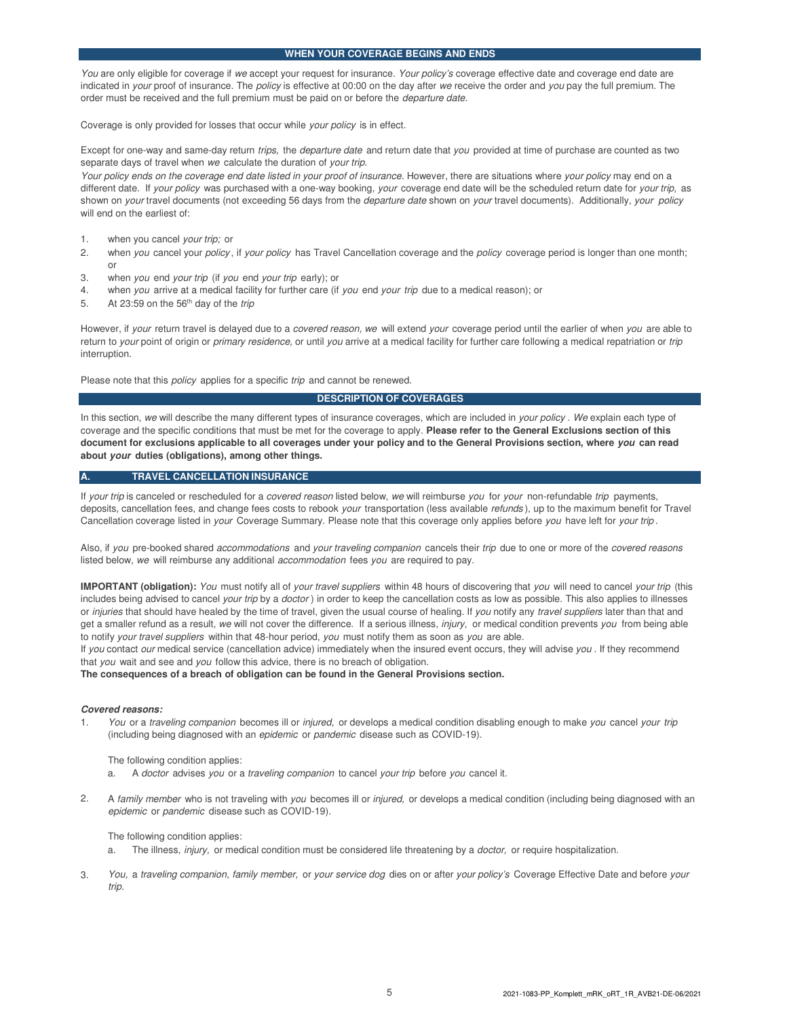#### **WHEN YOUR COVERAGE BEGINS AND ENDS**

You are only eligible for coverage if we accept your request for insurance. Your policy's coverage effective date and coverage end date are indicated in your proof of insurance. The policy is effective at 00:00 on the day after we receive the order and you pay the full premium. The order must be received and the full premium must be paid on or before the *departure date*.

Coverage is only provided for losses that occur while your policy is in effect.

Except for one-way and same-day return trips, the departure date and return date that you provided at time of purchase are counted as two separate days of travel when we calculate the duration of your trip.

Your policy ends on the coverage end date listed in your proof of insurance. However, there are situations where your policy may end on a different date. If your policy was purchased with a one-way booking, your coverage end date will be the scheduled return date for your trip, as shown on your travel documents (not exceeding 56 days from the *departure date* shown on your travel documents). Additionally, your policy will end on the earliest of:

- 1. when you cancel your trip; or
- 2. when you cancel your policy, if your policy has Travel Cancellation coverage and the policy coverage period is longer than one month; or
- 3. when you end your trip (if you end your trip early); or
- 4. when you arrive at a medical facility for further care (if you end your trip due to a medical reason); or
- 5. At 23:59 on the 56<sup>th</sup> day of the trip

However, if your return travel is delayed due to a covered reason, we will extend your coverage period until the earlier of when you are able to return to your point of origin or primary residence, or until you arrive at a medical facility for further care following a medical repatriation or trip interruption.

Please note that this *policy* applies for a specific trip and cannot be renewed.

#### **DESCRIPTION OF COVERAGES**

In this section, we will describe the many different types of insurance coverages, which are included in your policy . We explain each type of coverage and the specific conditions that must be met for the coverage to apply. **Please refer to the General Exclusions section of this document for exclusions applicable to all coverages under your policy and to the General Provisions section, where you can read about your duties (obligations), among other things.**

#### **TRAVEL CANCELLATION INSURANCE**

If your trip is canceled or rescheduled for a covered reason listed below, we will reimburse you for your non-refundable trip payments, deposits, cancellation fees, and change fees costs to rebook your transportation (less available refunds), up to the maximum benefit for Travel Cancellation coverage listed in your Coverage Summary. Please note that this coverage only applies before you have left for your trip.

Also, if you pre-booked shared accommodations and your traveling companion cancels their trip due to one or more of the covered reasons listed below, we will reimburse any additional accommodation fees you are required to pay.

**IMPORTANT (obligation):** You must notify all of your travel suppliers within 48 hours of discovering that you will need to cancel your trip (this includes being advised to cancel your trip by a doctor) in order to keep the cancellation costs as low as possible. This also applies to illnesses or injuries that should have healed by the time of travel, given the usual course of healing. If you notify any travel suppliers later than that and get a smaller refund as a result, we will not cover the difference. If a serious illness, *injury*, or medical condition prevents you from being able to notify your travel suppliers within that 48-hour period, you must notify them as soon as you are able.

If you contact our medical service (cancellation advice) immediately when the insured event occurs, they will advise you . If they recommend that you wait and see and you follow this advice, there is no breach of obligation.

**The consequences of a breach of obligation can be found in the General Provisions section.**

#### **Covered reasons:**

1. You or a traveling companion becomes ill or injured, or develops a medical condition disabling enough to make you cancel your trip (including being diagnosed with an epidemic or pandemic disease such as COVID-19).

The following condition applies:

- a. A doctor advises you or a traveling companion to cancel your trip before you cancel it.
- 2. A family member who is not traveling with you becomes ill or injured, or develops a medical condition (including being diagnosed with an epidemic or pandemic disease such as COVID-19).

The following condition applies:

- a. The illness, injury, or medical condition must be considered life threatening by a doctor, or require hospitalization.
- 3. You, a traveling companion, family member, or your service dog dies on or after your policy's Coverage Effective Date and before your trip.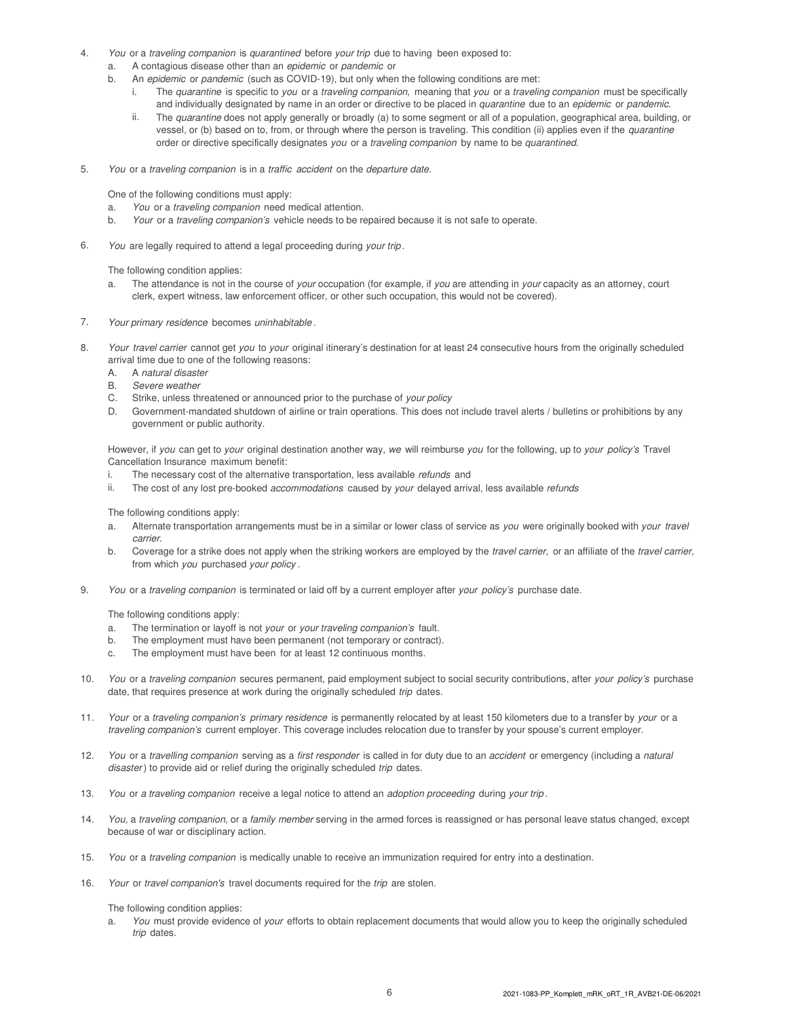- 4. You or a traveling companion is quarantined before your trip due to having been exposed to:
	- a. A contagious disease other than an epidemic or pandemic or
	- b. An epidemic or pandemic (such as COVID-19), but only when the following conditions are met:
		- i. The quarantine is specific to you or a traveling companion, meaning that you or a traveling companion must be specifically and individually designated by name in an order or directive to be placed in quarantine due to an epidemic or pandemic.
		- ii. The quarantine does not apply generally or broadly (a) to some segment or all of a population, geographical area, building, or vessel, or (b) based on to, from, or through where the person is traveling. This condition (ii) applies even if the quarantine order or directive specifically designates you or a traveling companion by name to be quarantined.
- 5. You or a traveling companion is in a traffic accident on the departure date.

One of the following conditions must apply:

- a. You or a traveling companion need medical attention.
- b. Your or a traveling companion's vehicle needs to be repaired because it is not safe to operate.
- 6. You are legally required to attend a legal proceeding during your trip.

The following condition applies:

- a. The attendance is not in the course of your occupation (for example, if you are attending in your capacity as an attorney, court clerk, expert witness, law enforcement officer, or other such occupation, this would not be covered).
- 7. Your primary residence becomes uninhabitable .
- 8. Your travel carrier cannot get you to your original itinerary's destination for at least 24 consecutive hours from the originally scheduled arrival time due to one of the following reasons:
	- A. A natural disaster
	- B. Severe weather
	- C. Strike, unless threatened or announced prior to the purchase of your policy
	- D. Government-mandated shutdown of airline or train operations. This does not include travel alerts / bulletins or prohibitions by any government or public authority.

However, if you can get to your original destination another way, we will reimburse you for the following, up to your policy's Travel Cancellation Insurance maximum benefit:

- i. The necessary cost of the alternative transportation, less available refunds and
- ii. The cost of any lost pre-booked accommodations caused by your delayed arrival, less available refunds

The following conditions apply:

- a. Alternate transportation arrangements must be in a similar or lower class of service as you were originally booked with your travel carrier.
- b. Coverage for a strike does not apply when the striking workers are employed by the travel carrier, or an affiliate of the travel carrier, from which you purchased your policy.
- 9. You or a traveling companion is terminated or laid off by a current employer after your policy's purchase date.

The following conditions apply:

- a. The termination or layoff is not your or your traveling companion's fault.
- b. The employment must have been permanent (not temporary or contract).
- c. The employment must have been for at least 12 continuous months.
- 10. You or a traveling companion secures permanent, paid employment subject to social security contributions, after your policy's purchase date, that requires presence at work during the originally scheduled trip dates.
- 11. Your or a traveling companion's primary residence is permanently relocated by at least 150 kilometers due to a transfer by your or a traveling companion's current employer. This coverage includes relocation due to transfer by your spouse's current employer.
- 12. You or a travelling companion serving as a first responder is called in for duty due to an accident or emergency (including a natural disaster) to provide aid or relief during the originally scheduled trip dates.
- 13. You or a traveling companion receive a legal notice to attend an adoption proceeding during your trip.
- 14. You, a traveling companion, or a family member serving in the armed forces is reassigned or has personal leave status changed, except because of war or disciplinary action.
- 15. You or a traveling companion is medically unable to receive an immunization required for entry into a destination.
- 16. Your or travel companion's travel documents required for the trip are stolen.

The following condition applies:

a. You must provide evidence of your efforts to obtain replacement documents that would allow you to keep the originally scheduled trip dates.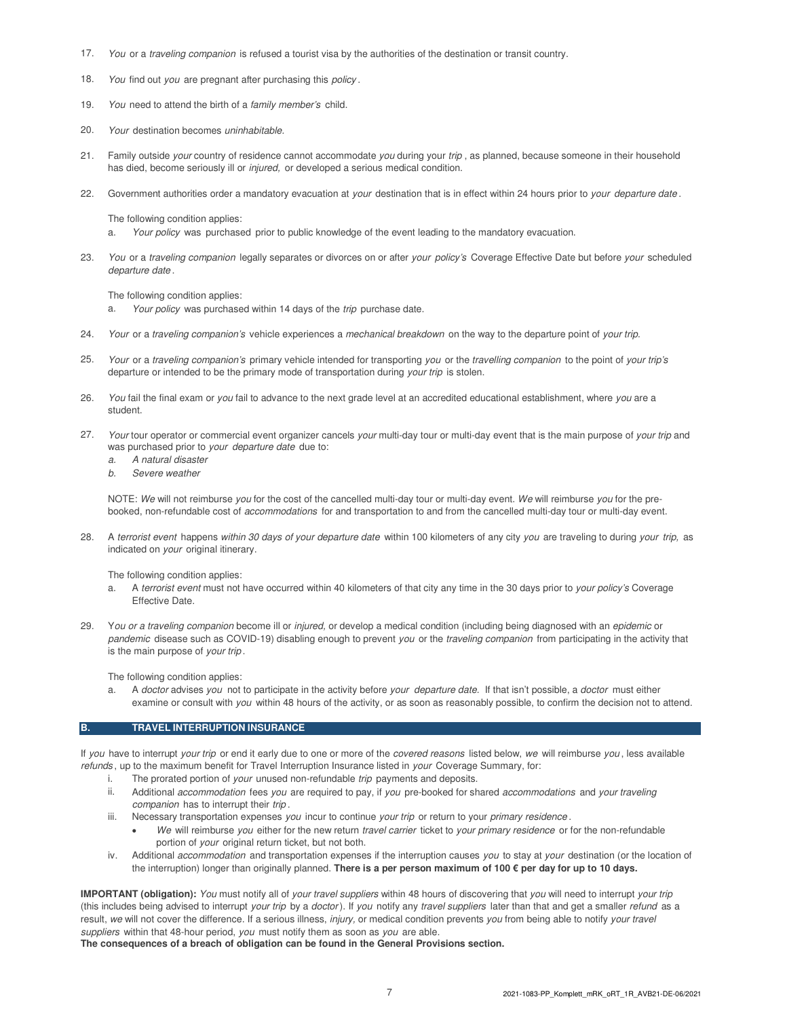- 17. You or a traveling companion is refused a tourist visa by the authorities of the destination or transit country.
- 18. You find out you are pregnant after purchasing this policy.
- 19. You need to attend the birth of a family member's child.
- 20. Your destination becomes uninhabitable.
- 21. Family outside your country of residence cannot accommodate you during your trip, as planned, because someone in their household has died, become seriously ill or *injured*, or developed a serious medical condition.
- 22. Government authorities order a mandatory evacuation at your destination that is in effect within 24 hours prior to your departure date.

The following condition applies:

- a. Your policy was purchased prior to public knowledge of the event leading to the mandatory evacuation.
- 23. You or a traveling companion legally separates or divorces on or after your policy's Coverage Effective Date but before your scheduled departure date .

The following condition applies:

- a. Your policy was purchased within 14 days of the trip purchase date.
- 24. Your or a traveling companion's vehicle experiences a mechanical breakdown on the way to the departure point of your trip.
- 25. Your or a traveling companion's primary vehicle intended for transporting you or the travelling companion to the point of your trip's departure or intended to be the primary mode of transportation during your trip is stolen.
- 26. You fail the final exam or you fail to advance to the next grade level at an accredited educational establishment, where you are a student.
- 27. Your tour operator or commercial event organizer cancels your multi-day tour or multi-day event that is the main purpose of your trip and was purchased prior to your departure date due to:
	- a. A natural disaster
	- b. Severe weather

NOTE: We will not reimburse you for the cost of the cancelled multi-day tour or multi-day event. We will reimburse you for the prebooked, non-refundable cost of accommodations for and transportation to and from the cancelled multi-day tour or multi-day event.

28. A terrorist event happens within 30 days of your departure date within 100 kilometers of any city you are traveling to during your trip, as indicated on your original itinerary.

The following condition applies:

- a. A terrorist event must not have occurred within 40 kilometers of that city any time in the 30 days prior to your policy's Coverage Effective Date.
- 29. You or a traveling companion become ill or injured, or develop a medical condition (including being diagnosed with an epidemic or pandemic disease such as COVID-19) disabling enough to prevent you or the traveling companion from participating in the activity that is the main purpose of your trip.

The following condition applies:

a. A doctor advises you not to participate in the activity before your departure date. If that isn't possible, a doctor must either examine or consult with you within 48 hours of the activity, or as soon as reasonably possible, to confirm the decision not to attend.

#### **B. TRAVEL INTERRUPTION INSURANCE**

If you have to interrupt your trip or end it early due to one or more of the covered reasons listed below, we will reimburse you, less available refunds, up to the maximum benefit for Travel Interruption Insurance listed in your Coverage Summary, for:

- i. The prorated portion of your unused non-refundable trip payments and deposits.
- ii. Additional accommodation fees you are required to pay, if you pre-booked for shared accommodations and your traveling companion has to interrupt their trip.
- iii. Necessary transportation expenses you incur to continue your trip or return to your primary residence.
	- We will reimburse you either for the new return travel carrier ticket to your primary residence or for the non-refundable portion of your original return ticket, but not both.
- iv. Additional *accommodation* and transportation expenses if the interruption causes you to stay at your destination (or the location of the interruption) longer than originally planned. **There is a per person maximum of 100 € per day for up to 10 days.**

**IMPORTANT (obligation):** You must notify all of your travel suppliers within 48 hours of discovering that you will need to interrupt your trip (this includes being advised to interrupt your trip by a doctor). If you notify any travel suppliers later than that and get a smaller refund as a result, we will not cover the difference. If a serious illness, injury, or medical condition prevents you from being able to notify your travel suppliers within that 48-hour period, you must notify them as soon as you are able.

**The consequences of a breach of obligation can be found in the General Provisions section.**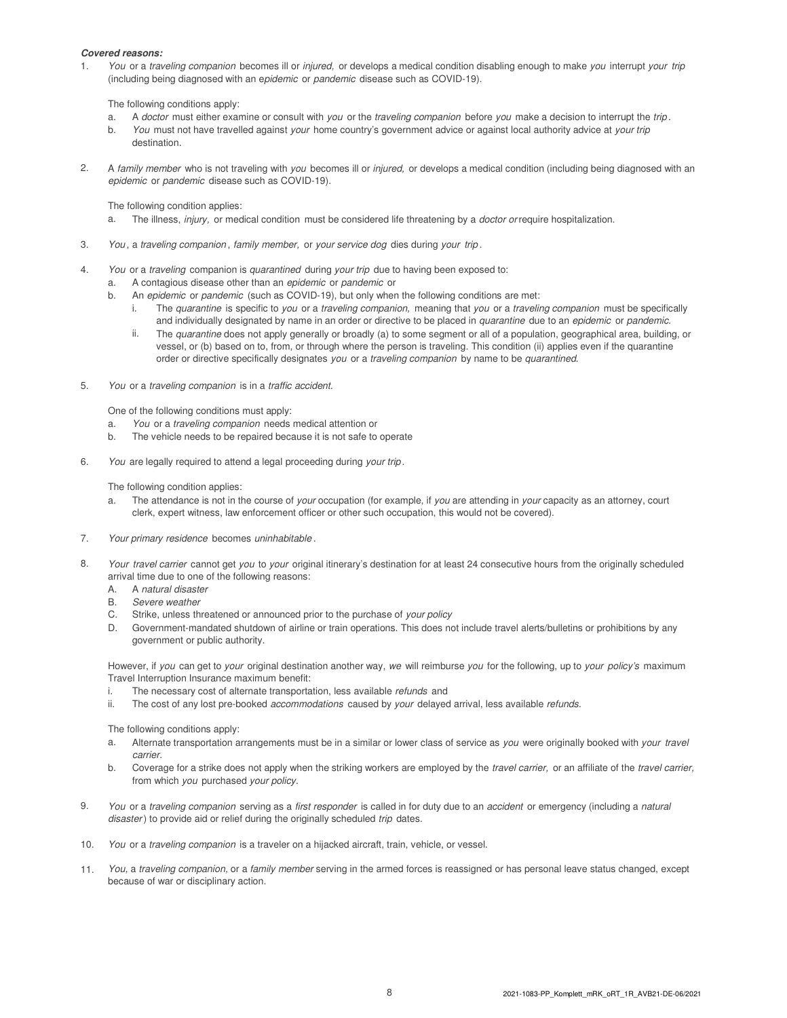#### **Covered reasons:**

1. You or a traveling companion becomes ill or injured, or develops a medical condition disabling enough to make you interrupt your trip (including being diagnosed with an epidemic or pandemic disease such as COVID-19).

The following conditions apply:

- a. A doctor must either examine or consult with you or the traveling companion before you make a decision to interrupt the trip.
- b. You must not have travelled against your home country's government advice or against local authority advice at your trip destination.
- 2. A family member who is not traveling with you becomes ill or injured, or develops a medical condition (including being diagnosed with an epidemic or pandemic disease such as COVID-19).

The following condition applies:

- a. The illness, injury, or medical condition must be considered life threatening by a doctor or require hospitalization.
- 3. You , a traveling companion , family member, or your service dog dies during your trip .
- 4. You or a traveling companion is quarantined during your trip due to having been exposed to:
	- a. A contagious disease other than an epidemic or pandemic or
		- b. An epidemic or pandemic (such as COVID-19), but only when the following conditions are met:
			- i. The quarantine is specific to you or a traveling companion, meaning that you or a traveling companion must be specifically and individually designated by name in an order or directive to be placed in quarantine due to an epidemic or pandemic.
			- ii. The quarantine does not apply generally or broadly (a) to some segment or all of a population, geographical area, building, or vessel, or (b) based on to, from, or through where the person is traveling. This condition (ii) applies even if the quarantine order or directive specifically designates you or a traveling companion by name to be quarantined.
- 5. You or a traveling companion is in a traffic accident.

One of the following conditions must apply:

- a. You or a traveling companion needs medical attention or
- b. The vehicle needs to be repaired because it is not safe to operate
- 6. You are legally required to attend a legal proceeding during your trip .

The following condition applies:

- a. The attendance is not in the course of your occupation (for example, if you are attending in your capacity as an attorney, court clerk, expert witness, law enforcement officer or other such occupation, this would not be covered).
- 7. Your primary residence becomes uninhabitable .
- 8. Your travel carrier cannot get you to your original itinerary's destination for at least 24 consecutive hours from the originally scheduled arrival time due to one of the following reasons:
	- A. A natural disaster
	- B. Severe weather
	- C. Strike, unless threatened or announced prior to the purchase of your policy
	- D. Government-mandated shutdown of airline or train operations. This does not include travel alerts/bulletins or prohibitions by any government or public authority.

However, if you can get to your original destination another way, we will reimburse you for the following, up to your policy's maximum Travel Interruption Insurance maximum benefit:

- i. The necessary cost of alternate transportation, less available refunds and
- ii. The cost of any lost pre-booked accommodations caused by your delayed arrival, less available refunds.

The following conditions apply:

- a. Alternate transportation arrangements must be in a similar or lower class of service as you were originally booked with your travel carrier.
- b. Coverage for a strike does not apply when the striking workers are employed by the *travel carrier*, or an affiliate of the *travel carrier*, from which you purchased your policy.
- 9. You or a traveling companion serving as a first responder is called in for duty due to an accident or emergency (including a natural disaster) to provide aid or relief during the originally scheduled trip dates.
- 10. You or a traveling companion is a traveler on a hijacked aircraft, train, vehicle, or vessel.
- 11. You, a traveling companion, or a family member serving in the armed forces is reassigned or has personal leave status changed, except because of war or disciplinary action.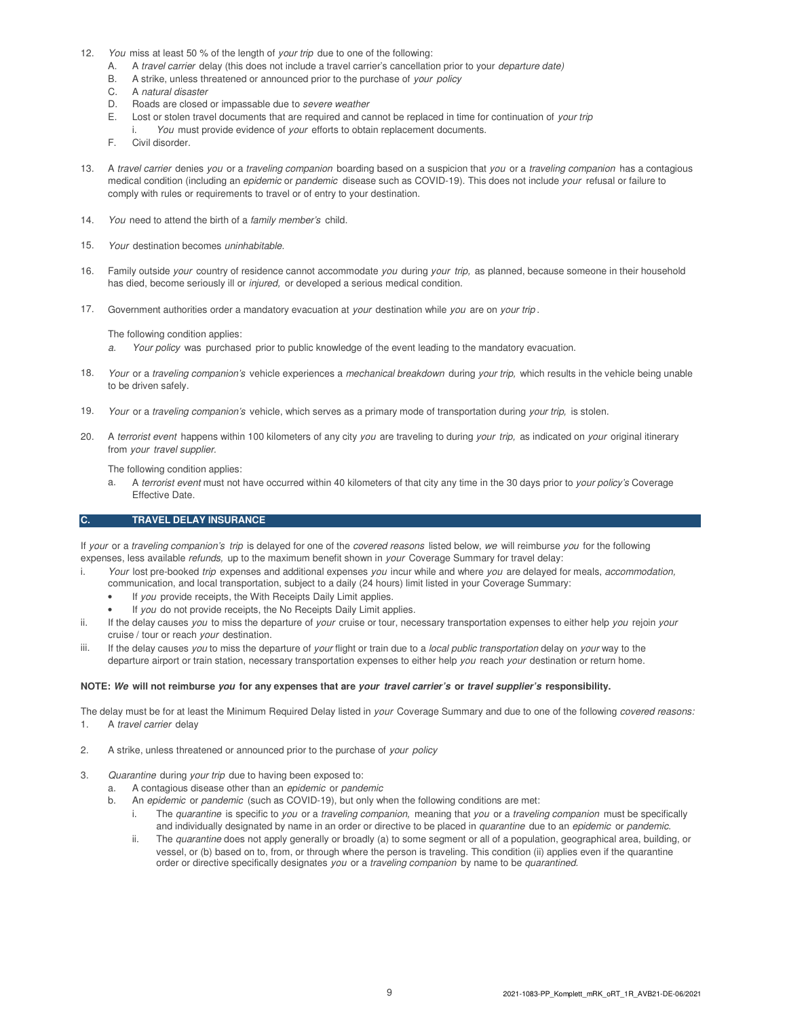- 12. You miss at least 50 % of the length of your trip due to one of the following:
	- A. A travel carrier delay (this does not include a travel carrier's cancellation prior to your *departure date*)
	- B. A strike, unless threatened or announced prior to the purchase of your policy
	- C. A natural disaster
	- D. Roads are closed or impassable due to severe weather
	- E. Lost or stolen travel documents that are required and cannot be replaced in time for continuation of your trip
	- i. You must provide evidence of your efforts to obtain replacement documents.
	- F. Civil disorder.
- 13. A travel carrier denies you or a traveling companion boarding based on a suspicion that you or a traveling companion has a contagious medical condition (including an *epidemic* or pandemic disease such as COVID-19). This does not include your refusal or failure to comply with rules or requirements to travel or of entry to your destination.
- 14. You need to attend the birth of a family member's child.
- 15. Your destination becomes uninhabitable.
- 16. Family outside your country of residence cannot accommodate you during your trip, as planned, because someone in their household has died, become seriously ill or *injured*, or developed a serious medical condition.
- 17. Government authorities order a mandatory evacuation at your destination while you are on your trip.

The following condition applies:

- a. Your policy was purchased prior to public knowledge of the event leading to the mandatory evacuation.
- 18. Your or a traveling companion's vehicle experiences a mechanical breakdown during your trip, which results in the vehicle being unable to be driven safely.
- 19. Your or a traveling companion's vehicle, which serves as a primary mode of transportation during your trip, is stolen.
- 20. A terrorist event happens within 100 kilometers of any city you are traveling to during your trip, as indicated on your original itinerary from your travel supplier.

The following condition applies:

a. A terrorist event must not have occurred within 40 kilometers of that city any time in the 30 days prior to your policy's Coverage Effective Date.

#### **C. TRAVEL DELAY INSURANCE**

If your or a traveling companion's trip is delayed for one of the covered reasons listed below, we will reimburse you for the following expenses, less available refunds, up to the maximum benefit shown in your Coverage Summary for travel delay:

- i. Your lost pre-booked trip expenses and additional expenses you incur while and where you are delayed for meals, accommodation, communication, and local transportation, subject to a daily (24 hours) limit listed in your Coverage Summary:
	- If you provide receipts, the With Receipts Daily Limit applies.
	- If you do not provide receipts, the No Receipts Daily Limit applies.
- ii. If the delay causes you to miss the departure of your cruise or tour, necessary transportation expenses to either help you rejoin your cruise / tour or reach your destination.
- iii. If the delay causes you to miss the departure of your flight or train due to a local public transportation delay on your way to the departure airport or train station, necessary transportation expenses to either help you reach your destination or return home.

#### **NOTE: We will not reimburse you for any expenses that are your travel carrier's or travel supplier's responsibility.**

The delay must be for at least the Minimum Required Delay listed in your Coverage Summary and due to one of the following covered reasons: 1. A travel carrier delay

- 2. A strike, unless threatened or announced prior to the purchase of your policy
- 3. Quarantine during your trip due to having been exposed to:
	- a. A contagious disease other than an epidemic or pandemic
	- b. An epidemic or pandemic (such as COVID-19), but only when the following conditions are met:
		- i. The quarantine is specific to you or a traveling companion, meaning that you or a traveling companion must be specifically and individually designated by name in an order or directive to be placed in quarantine due to an epidemic or pandemic.
		- ii. The quarantine does not apply generally or broadly (a) to some segment or all of a population, geographical area, building, or vessel, or (b) based on to, from, or through where the person is traveling. This condition (ii) applies even if the quarantine order or directive specifically designates you or a traveling companion by name to be quarantined.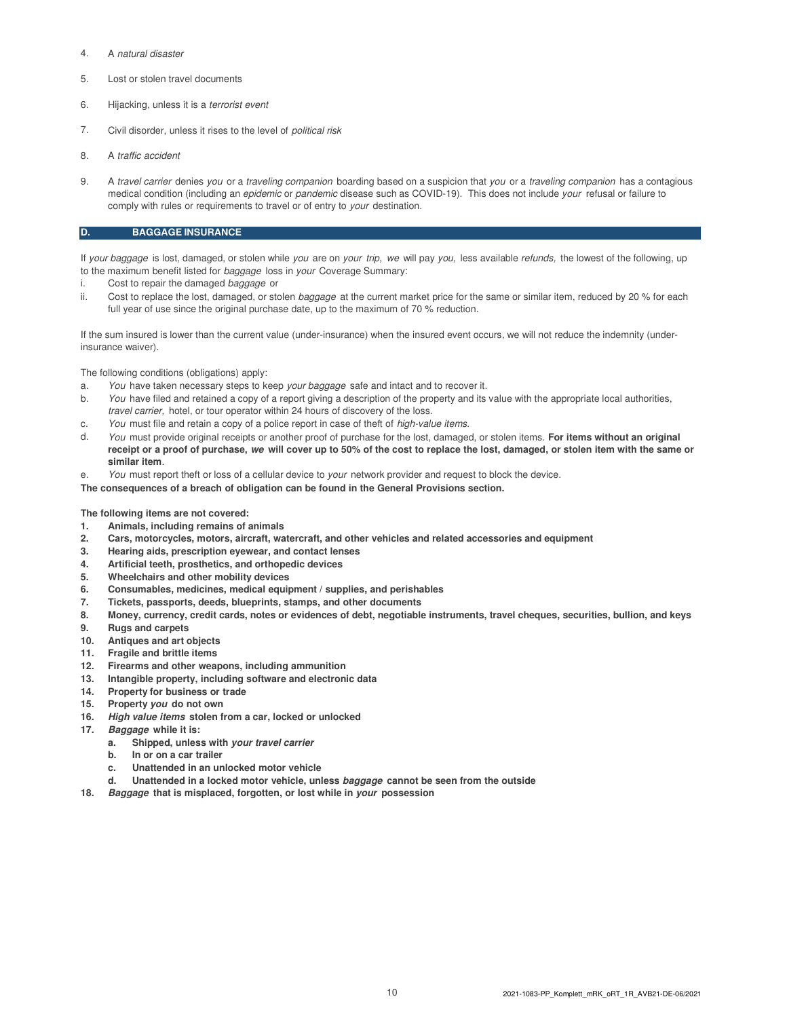- 4. A natural disaster
- 5. Lost or stolen travel documents
- 6. Hijacking, unless it is a terrorist event
- 7. Civil disorder, unless it rises to the level of *political risk*
- 8. A traffic accident
- 9. A travel carrier denies you or a traveling companion boarding based on a suspicion that you or a traveling companion has a contagious medical condition (including an *epidemic* or *pandemic* disease such as COVID-19). This does not include your refusal or failure to comply with rules or requirements to travel or of entry to your destination.

#### **D. BAGGAGE INSURANCE**

If your baggage is lost, damaged, or stolen while you are on your trip, we will pay you, less available refunds, the lowest of the following, up to the maximum benefit listed for baggage loss in your Coverage Summary:

- Cost to repair the damaged baggage or
- ii. Cost to replace the lost, damaged, or stolen baggage at the current market price for the same or similar item, reduced by 20 % for each full year of use since the original purchase date, up to the maximum of 70 % reduction.

If the sum insured is lower than the current value (under-insurance) when the insured event occurs, we will not reduce the indemnity (underinsurance waiver).

The following conditions (obligations) apply:

- a. You have taken necessary steps to keep your baggage safe and intact and to recover it.
- b. You have filed and retained a copy of a report giving a description of the property and its value with the appropriate local authorities, travel carrier, hotel, or tour operator within 24 hours of discovery of the loss.
- c. You must file and retain a copy of a police report in case of theft of high-value items.
- d. You must provide original receipts or another proof of purchase for the lost, damaged, or stolen items. **For items without an original receipt or a proof of purchase, we will cover up to 50% of the cost to replace the lost, damaged, or stolen item with the same or similar item**.
- e. You must report theft or loss of a cellular device to your network provider and request to block the device.

**The consequences of a breach of obligation can be found in the General Provisions section.**

#### **The following items are not covered:**

- **1. Animals, including remains of animals**
- **2. Cars, motorcycles, motors, aircraft, watercraft, and other vehicles and related accessories and equipment**
- **3. Hearing aids, prescription eyewear, and contact lenses**
- **4. Artificial teeth, prosthetics, and orthopedic devices**
- **5. Wheelchairs and other mobility devices**
- **6. Consumables, medicines, medical equipment / supplies, and perishables**
- **7. Tickets, passports, deeds, blueprints, stamps, and other documents**
- **8. Money, currency, credit cards, notes or evidences of debt, negotiable instruments, travel cheques, securities, bullion, and keys**
- **9. Rugs and carpets**
- **10. Antiques and art objects**
- **11. Fragile and brittle items**
- **12. Firearms and other weapons, including ammunition**
- **13. Intangible property, including software and electronic data**
- **14. Property for business or trade**
- **15. Property you do not own**
- **16. High value items stolen from a car, locked or unlocked**
- **17. Baggage while it is:**
	- **a. Shipped, unless with your travel carrier**
	- **b. In or on a car trailer**
	- **c. Unattended in an unlocked motor vehicle**
	- **d. Unattended in a locked motor vehicle, unless baggage cannot be seen from the outside**
- **18. Baggage that is misplaced, forgotten, or lost while in your possession**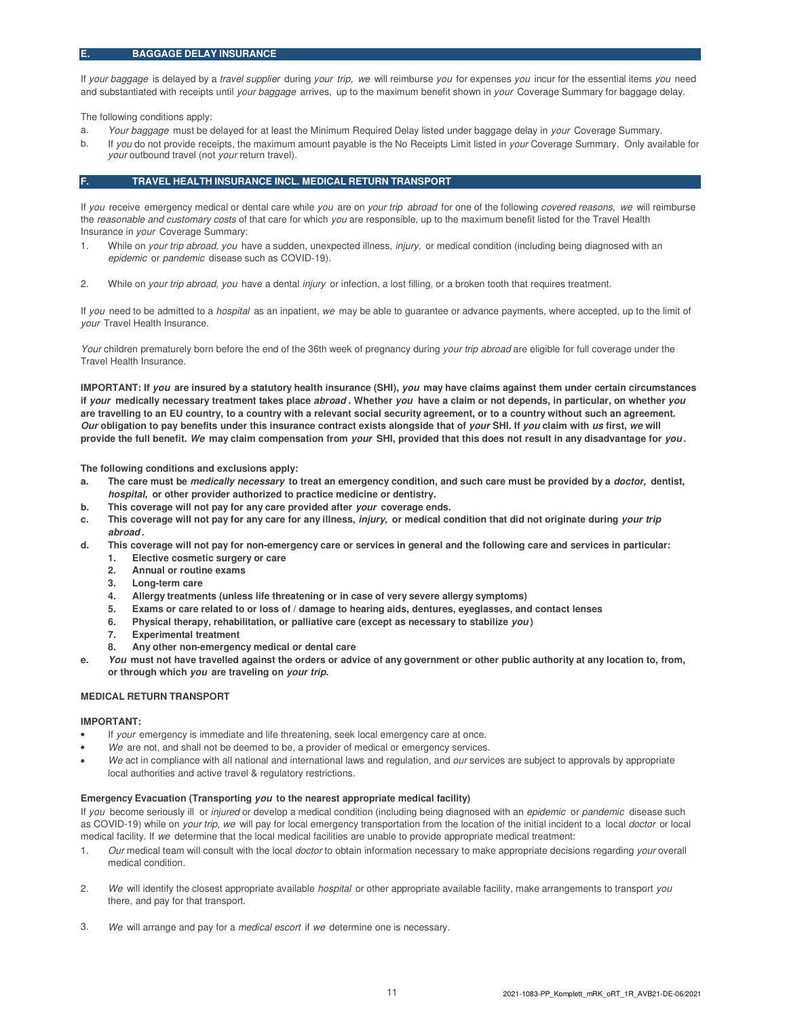If your baggage is delayed by a travel supplier during your trip, we will reimburse you for expenses you incur for the essential items you need and substantiated with receipts until your baggage arrives, up to the maximum benefit shown in your Coverage Summary for baggage delay.

The following conditions apply:

- a. Your baggage must be delayed for at least the Minimum Required Delay listed under baggage delay in your Coverage Summary.
- b. If you do not provide receipts, the maximum amount payable is the No Receipts Limit listed in your Coverage Summary. Only available for your outbound travel (not your return travel).

#### **F. TRAVEL HEALTH INSURANCE INCL. MEDICAL RETURN TRANSPORT**

If you receive emergency medical or dental care while you are on your trip abroad for one of the following covered reasons, we will reimburse the reasonable and customary costs of that care for which you are responsible, up to the maximum benefit listed for the Travel Health Insurance in your Coverage Summary:

- 1. While on your trip abroad, you have a sudden, unexpected illness, injury, or medical condition (including being diagnosed with an epidemic or pandemic disease such as COVID-19).
- 2. While on your trip abroad, you have a dental injury or infection, a lost filling, or a broken tooth that requires treatment.

If you need to be admitted to a hospital as an inpatient, we may be able to guarantee or advance payments, where accepted, up to the limit of your Travel Health Insurance.

Your children prematurely born before the end of the 36th week of pregnancy during your trip abroad are eligible for full coverage under the Travel Health Insurance.

**IMPORTANT: If you are insured by a statutory health insurance (SHI), you may have claims against them under certain circumstances if your medically necessary treatment takes place abroad . Whether you have a claim or not depends, in particular, on whether you are travelling to an EU country, to a country with a relevant social security agreement, or to a country without such an agreement. Our obligation to pay benefits under this insurance contract exists alongside that of your SHI. If you claim with us first, we will provide the full benefit. We may claim compensation from your SHI, provided that this does not result in any disadvantage for you .**

**The following conditions and exclusions apply:**

- **a. The care must be medically necessary to treat an emergency condition, and such care must be provided by a doctor, dentist, hospital, or other provider authorized to practice medicine or dentistry.**
- **b. This coverage will not pay for any care provided after your coverage ends.**
- **c. This coverage will not pay for any care for any illness, injury, or medical condition that did not originate during your trip abroad .**
- **d. This coverage will not pay for non-emergency care or services in general and the following care and services in particular: 1. Elective cosmetic surgery or care**
	- **2. Annual or routine exams**
	-
	- **3. Long-term care**
	- **4. Allergy treatments (unless life threatening or in case of very severe allergy symptoms)**
	- **5. Exams or care related to or loss of / damage to hearing aids, dentures, eyeglasses, and contact lenses**
	- **6. Physical therapy, rehabilitation, or palliative care (except as necessary to stabilize you )**
	- **7. Experimental treatment**
	- **8. Any other non-emergency medical or dental care**
- **e. You must not have travelled against the orders or advice of any government or other public authority at any location to, from, or through which you are traveling on your trip.**

#### **MEDICAL RETURN TRANSPORT**

#### **IMPORTANT:**

- If your emergency is immediate and life threatening, seek local emergency care at once.
- We are not, and shall not be deemed to be, a provider of medical or emergency services.
- We act in compliance with all national and international laws and regulation, and our services are subject to approvals by appropriate local authorities and active travel & regulatory restrictions.

#### **Emergency Evacuation (Transporting you to the nearest appropriate medical facility)**

If you become seriously ill or injured or develop a medical condition (including being diagnosed with an epidemic or pandemic disease such as COVID-19) while on your trip, we will pay for local emergency transportation from the location of the initial incident to a local doctor or local medical facility. If we determine that the local medical facilities are unable to provide appropriate medical treatment:

- 1. Our medical team will consult with the local *doctor* to obtain information necessary to make appropriate decisions regarding your overall medical condition.
- 2. We will identify the closest appropriate available *hospital* or other appropriate available facility, make arrangements to transport you there, and pay for that transport.
- 3. We will arrange and pay for a medical escort if we determine one is necessary.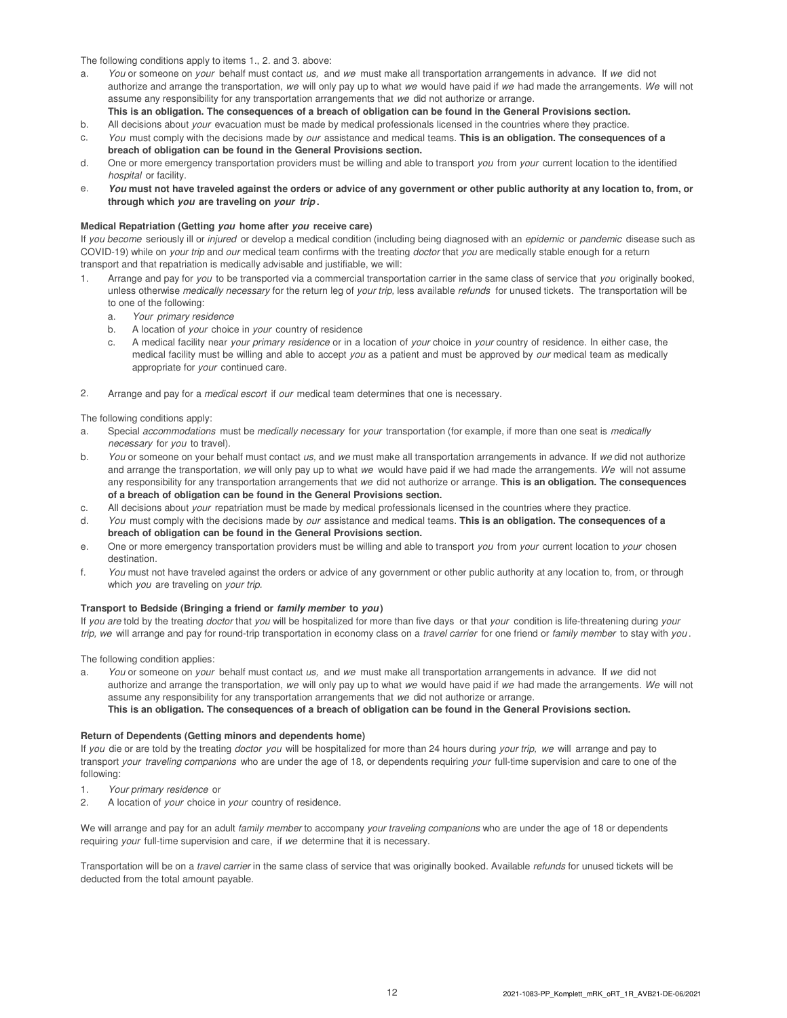The following conditions apply to items 1., 2. and 3. above:

- a. You or someone on your behalf must contact us, and we must make all transportation arrangements in advance. If we did not authorize and arrange the transportation, we will only pay up to what we would have paid if we had made the arrangements. We will not assume any responsibility for any transportation arrangements that we did not authorize or arrange.
	- **This is an obligation. The consequences of a breach of obligation can be found in the General Provisions section.**
- b. All decisions about your evacuation must be made by medical professionals licensed in the countries where they practice.
- c. You must comply with the decisions made by our assistance and medical teams. **This is an obligation. The consequences of a breach of obligation can be found in the General Provisions section.**
- d. One or more emergency transportation providers must be willing and able to transport you from your current location to the identified hospital or facility.
- e. **You must not have traveled against the orders or advice of any government or other public authority at any location to, from, or through which you are traveling on your trip .**

#### **Medical Repatriation (Getting you home after you receive care)**

If you become seriously ill or injured or develop a medical condition (including being diagnosed with an epidemic or pandemic disease such as COVID-19) while on your trip and our medical team confirms with the treating doctor that you are medically stable enough for a return transport and that repatriation is medically advisable and justifiable, we will:

- 1. Arrange and pay for you to be transported via a commercial transportation carrier in the same class of service that you originally booked, unless otherwise medically necessary for the return leg of your trip, less available refunds for unused tickets. The transportation will be to one of the following:
	- a. Your primary residence
	- b. A location of your choice in your country of residence
	- c. A medical facility near your primary residence or in a location of your choice in your country of residence. In either case, the medical facility must be willing and able to accept you as a patient and must be approved by our medical team as medically appropriate for your continued care.
- 2. Arrange and pay for a *medical escort* if our medical team determines that one is necessary.

The following conditions apply:

- a. Special accommodations must be medically necessary for your transportation (for example, if more than one seat is medically necessary for you to travel).
- b. You or someone on your behalf must contact us, and we must make all transportation arrangements in advance. If we did not authorize and arrange the transportation, we will only pay up to what we would have paid if we had made the arrangements. We will not assume any responsibility for any transportation arrangements that we did not authorize or arrange. **This is an obligation. The consequences of a breach of obligation can be found in the General Provisions section.**
- c. All decisions about your repatriation must be made by medical professionals licensed in the countries where they practice.
- d. You must comply with the decisions made by our assistance and medical teams. **This is an obligation. The consequences of a breach of obligation can be found in the General Provisions section.**
- e. One or more emergency transportation providers must be willing and able to transport you from your current location to your chosen destination.
- f. You must not have traveled against the orders or advice of any government or other public authority at any location to, from, or through which you are traveling on your trip.

#### **Transport to Bedside (Bringing a friend or family member to you)**

If you are told by the treating doctor that you will be hospitalized for more than five days or that your condition is life-threatening during your trip, we will arrange and pay for round-trip transportation in economy class on a travel carrier for one friend or family member to stay with you.

The following condition applies:

a. You or someone on your behalf must contact us, and we must make all transportation arrangements in advance. If we did not authorize and arrange the transportation, we will only pay up to what we would have paid if we had made the arrangements. We will not assume any responsibility for any transportation arrangements that we did not authorize or arrange. **This is an obligation. The consequences of a breach of obligation can be found in the General Provisions section.**

#### **Return of Dependents (Getting minors and dependents home)**

If you die or are told by the treating doctor you will be hospitalized for more than 24 hours during your trip, we will arrange and pay to transport your traveling companions who are under the age of 18, or dependents requiring your full-time supervision and care to one of the following:

- 1. Your primary residence or
- 2. A location of your choice in your country of residence.

We will arrange and pay for an adult family member to accompany your traveling companions who are under the age of 18 or dependents requiring your full-time supervision and care, if we determine that it is necessary.

Transportation will be on a travel carrier in the same class of service that was originally booked. Available refunds for unused tickets will be deducted from the total amount payable.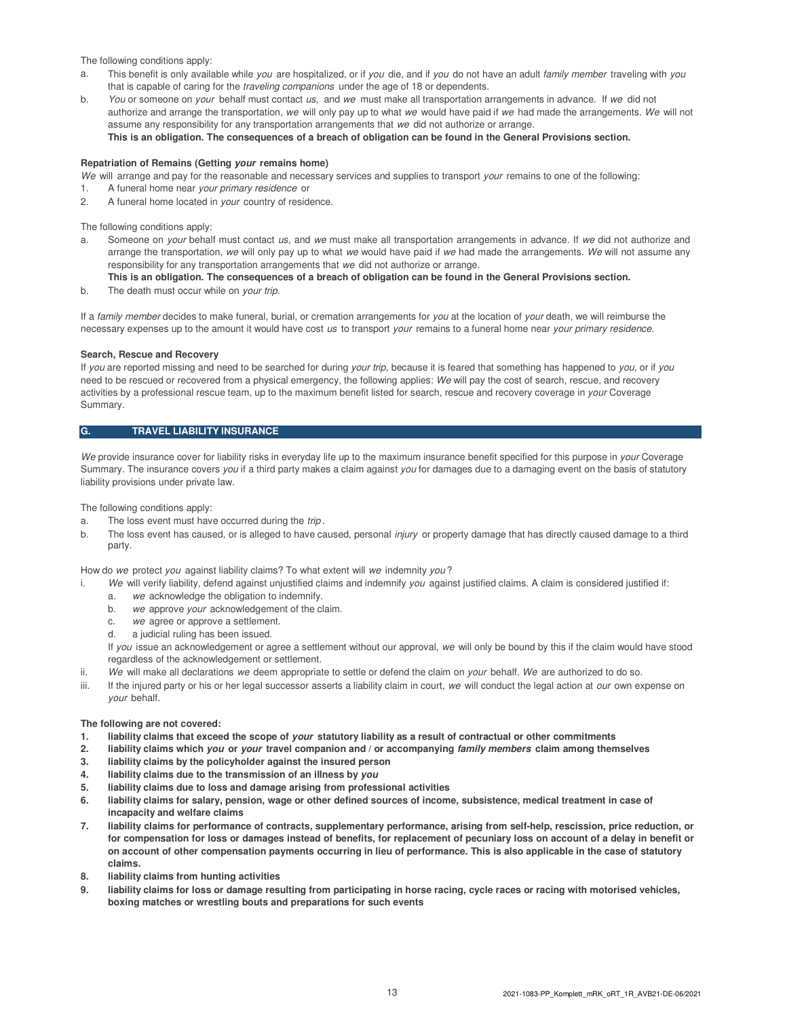The following conditions apply:

- a. This benefit is only available while you are hospitalized, or if you die, and if you do not have an adult family member traveling with you that is capable of caring for the traveling companions under the age of 18 or dependents.
- b. You or someone on your behalf must contact us, and we must make all transportation arrangements in advance. If we did not authorize and arrange the transportation, we will only pay up to what we would have paid if we had made the arrangements. We will not assume any responsibility for any transportation arrangements that we did not authorize or arrange. **This is an obligation. The consequences of a breach of obligation can be found in the General Provisions section.**

# **Repatriation of Remains (Getting your remains home)**

We will arrange and pay for the reasonable and necessary services and supplies to transport your remains to one of the following:

- 1. A funeral home near your primary residence or
- 2. A funeral home located in your country of residence.

The following conditions apply:

a. Someone on your behalf must contact us, and we must make all transportation arrangements in advance. If we did not authorize and arrange the transportation, we will only pay up to what we would have paid if we had made the arrangements. We will not assume any responsibility for any transportation arrangements that we did not authorize or arrange.

#### **This is an obligation. The consequences of a breach of obligation can be found in the General Provisions section.**

b. The death must occur while on your trip.

If a family member decides to make funeral, burial, or cremation arrangements for you at the location of your death, we will reimburse the necessary expenses up to the amount it would have cost us to transport your remains to a funeral home near your primary residence.

#### **Search, Rescue and Recovery**

If you are reported missing and need to be searched for during your trip, because it is feared that something has happened to you, or if you need to be rescued or recovered from a physical emergency, the following applies: We will pay the cost of search, rescue, and recovery activities by a professional rescue team, up to the maximum benefit listed for search, rescue and recovery coverage in your Coverage Summary.

#### **G. TRAVEL LIABILITY INSURANCE**

We provide insurance cover for liability risks in everyday life up to the maximum insurance benefit specified for this purpose in your Coverage Summary. The insurance covers you if a third party makes a claim against you for damages due to a damaging event on the basis of statutory liability provisions under private law.

The following conditions apply:

- a. The loss event must have occurred during the trip.
- b. The loss event has caused, or is alleged to have caused, personal injury or property damage that has directly caused damage to a third party.

How do we protect you against liability claims? To what extent will we indemnity you?

- We will verify liability, defend against unjustified claims and indemnify you against justified claims. A claim is considered justified if:
	- a. we acknowledge the obligation to indemnify.
	- b. we approve your acknowledgement of the claim.
	- c. we agree or approve a settlement.
	- d. a judicial ruling has been issued.

If you issue an acknowledgement or agree a settlement without our approval, we will only be bound by this if the claim would have stood regardless of the acknowledgement or settlement.

- ii. We will make all declarations we deem appropriate to settle or defend the claim on your behalf. We are authorized to do so.
- iii. If the injured party or his or her legal successor asserts a liability claim in court, we will conduct the legal action at our own expense on your behalf.

#### **The following are not covered:**

- **1. liability claims that exceed the scope of your statutory liability as a result of contractual or other commitments**
- **2. liability claims which you or your travel companion and / or accompanying family members claim among themselves**
- **3. liability claims by the policyholder against the insured person**
- **4. liability claims due to the transmission of an illness by you**
- **5. liability claims due to loss and damage arising from professional activities**
- **6. liability claims for salary, pension, wage or other defined sources of income, subsistence, medical treatment in case of incapacity and welfare claims**
- **7. liability claims for performance of contracts, supplementary performance, arising from self-help, rescission, price reduction, or for compensation for loss or damages instead of benefits, for replacement of pecuniary loss on account of a delay in benefit or on account of other compensation payments occurring in lieu of performance. This is also applicable in the case of statutory claims.**
- **8. liability claims from hunting activities**
- **9. liability claims for loss or damage resulting from participating in horse racing, cycle races or racing with motorised vehicles, boxing matches or wrestling bouts and preparations for such events**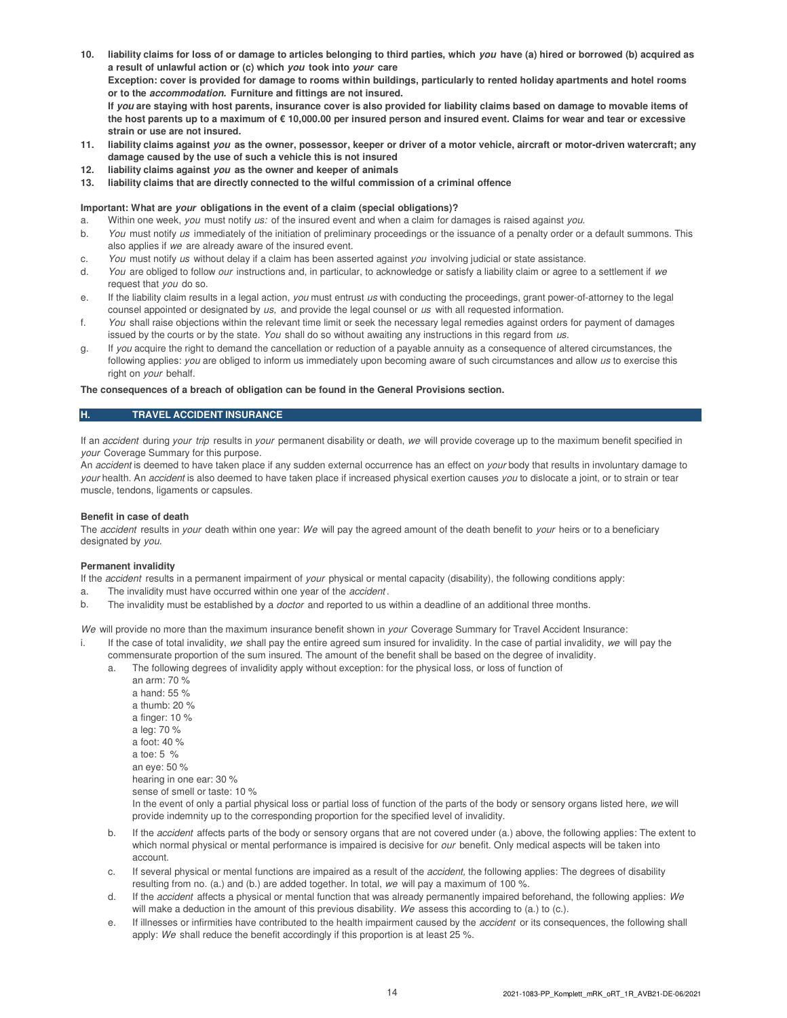- **10. liability claims for loss of or damage to articles belonging to third parties, which you have (a) hired or borrowed (b) acquired as a result of unlawful action or (c) which you took into your care Exception: cover is provided for damage to rooms within buildings, particularly to rented holiday apartments and hotel rooms or to the accommodation. Furniture and fittings are not insured. If you are staying with host parents, insurance cover is also provided for liability claims based on damage to movable items of the host parents up to a maximum of € 10,000.00 per insured person and insured event. Claims for wear and tear or excessive strain or use are not insured.**
- **11. liability claims against you as the owner, possessor, keeper or driver of a motor vehicle, aircraft or motor-driven watercraft; any damage caused by the use of such a vehicle this is not insured**
- **12. liability claims against you as the owner and keeper of animals**
- **13. liability claims that are directly connected to the wilful commission of a criminal offence**

#### **Important: What are your obligations in the event of a claim (special obligations)?**

- a. Within one week, you must notify us: of the insured event and when a claim for damages is raised against you.
- b. You must notify us immediately of the initiation of preliminary proceedings or the issuance of a penalty order or a default summons. This also applies if we are already aware of the insured event.
- c. You must notify us without delay if a claim has been asserted against you involving judicial or state assistance.
- d. You are obliged to follow our instructions and, in particular, to acknowledge or satisfy a liability claim or agree to a settlement if we request that you do so.
- e. If the liability claim results in a legal action, you must entrust us with conducting the proceedings, grant power-of-attorney to the legal counsel appointed or designated by us, and provide the legal counsel or us with all requested information.
- f. You shall raise objections within the relevant time limit or seek the necessary legal remedies against orders for payment of damages issued by the courts or by the state. You shall do so without awaiting any instructions in this regard from us.
- g. If you acquire the right to demand the cancellation or reduction of a payable annuity as a consequence of altered circumstances, the following applies: you are obliged to inform us immediately upon becoming aware of such circumstances and allow us to exercise this right on your behalf.

#### **The consequences of a breach of obligation can be found in the General Provisions section.**

#### **H. TRAVEL ACCIDENT INSURANCE**

If an accident during your trip results in your permanent disability or death, we will provide coverage up to the maximum benefit specified in your Coverage Summary for this purpose.

An *accident* is deemed to have taken place if any sudden external occurrence has an effect on *your* body that results in involuntary damage to your health. An accident is also deemed to have taken place if increased physical exertion causes you to dislocate a joint, or to strain or tear muscle, tendons, ligaments or capsules.

#### **Benefit in case of death**

The accident results in your death within one year: We will pay the agreed amount of the death benefit to your heirs or to a beneficiary designated by you.

#### **Permanent invalidity**

If the accident results in a permanent impairment of your physical or mental capacity (disability), the following conditions apply:

- a. The invalidity must have occurred within one year of the accident.
- b. The invalidity must be established by a *doctor* and reported to us within a deadline of an additional three months.

We will provide no more than the maximum insurance benefit shown in your Coverage Summary for Travel Accident Insurance:

- i. If the case of total invalidity, we shall pay the entire agreed sum insured for invalidity. In the case of partial invalidity, we will pay the commensurate proportion of the sum insured. The amount of the benefit shall be based on the degree of invalidity.
	- a. The following degrees of invalidity apply without exception: for the physical loss, or loss of function of
		- an arm: 70 % a hand: 55 % a thumb: 20 % a finger: 10 % a leg: 70 % a foot: 40 % a toe: 5 % an eye: 50 % hearing in one ear: 30 % sense of smell or taste: 10 % In the event of only a partial physical loss or partial loss of function of the parts of the body or sensory organs listed here, we will provide indemnity up to the corresponding proportion for the specified level of invalidity.
	- b. If the accident affects parts of the body or sensory organs that are not covered under (a.) above, the following applies: The extent to which normal physical or mental performance is impaired is decisive for our benefit. Only medical aspects will be taken into account.
	- c. If several physical or mental functions are impaired as a result of the *accident*, the following applies: The degrees of disability resulting from no. (a.) and (b.) are added together. In total, we will pay a maximum of 100 %.
	- d. If the accident affects a physical or mental function that was already permanently impaired beforehand, the following applies: We will make a deduction in the amount of this previous disability. We assess this according to (a.) to (c.).
	- e. If illnesses or infirmities have contributed to the health impairment caused by the accident or its consequences, the following shall apply: We shall reduce the benefit accordingly if this proportion is at least 25 %.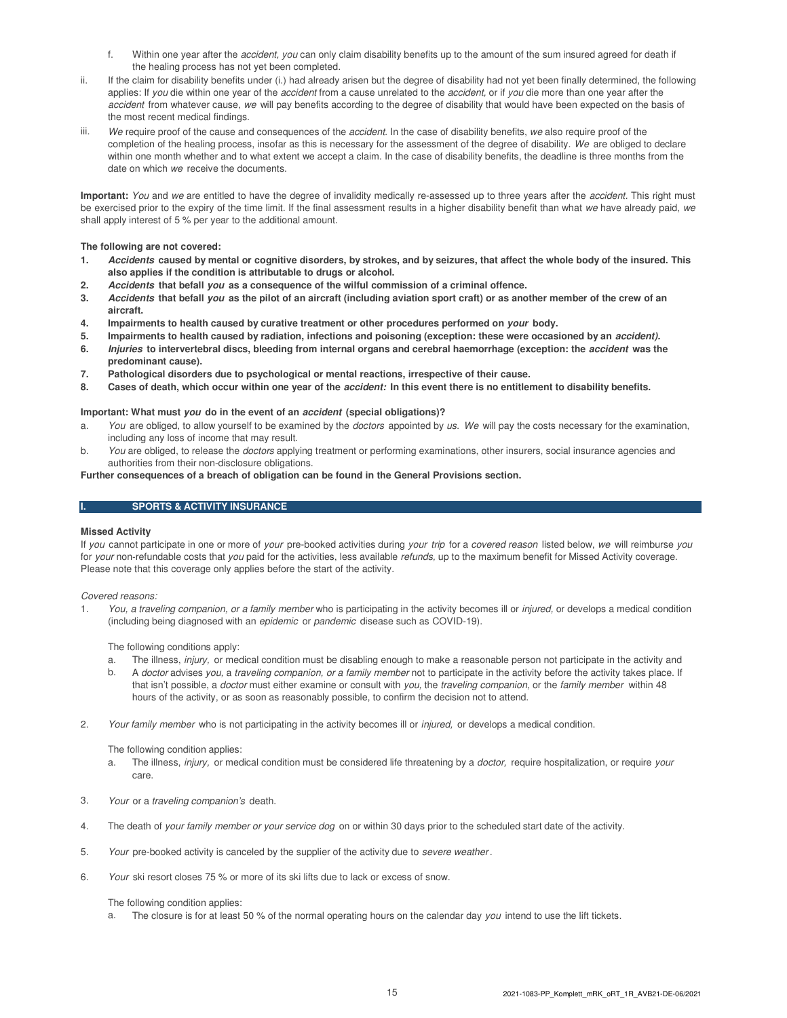- f. Within one year after the *accident, you* can only claim disability benefits up to the amount of the sum insured agreed for death if the healing process has not yet been completed.
- ii. If the claim for disability benefits under (i.) had already arisen but the degree of disability had not yet been finally determined, the following applies: If you die within one year of the accident from a cause unrelated to the accident, or if you die more than one year after the accident from whatever cause, we will pay benefits according to the degree of disability that would have been expected on the basis of the most recent medical findings.
- iii. We require proof of the cause and consequences of the accident. In the case of disability benefits, we also require proof of the completion of the healing process, insofar as this is necessary for the assessment of the degree of disability. We are obliged to declare within one month whether and to what extent we accept a claim. In the case of disability benefits, the deadline is three months from the date on which we receive the documents.

**Important:** You and we are entitled to have the degree of invalidity medically re-assessed up to three years after the accident. This right must be exercised prior to the expiry of the time limit. If the final assessment results in a higher disability benefit than what we have already paid, we shall apply interest of 5 % per year to the additional amount.

#### **The following are not covered:**

- **1. Accidents caused by mental or cognitive disorders, by strokes, and by seizures, that affect the whole body of the insured. This also applies if the condition is attributable to drugs or alcohol.**
- **2. Accidents that befall you as a consequence of the wilful commission of a criminal offence.**
- **3. Accidents that befall you as the pilot of an aircraft (including aviation sport craft) or as another member of the crew of an aircraft.**
- **4. Impairments to health caused by curative treatment or other procedures performed on your body.**
- **5. Impairments to health caused by radiation, infections and poisoning (exception: these were occasioned by an accident).**
- **6. Injuries to intervertebral discs, bleeding from internal organs and cerebral haemorrhage (exception: the accident was the predominant cause).**
- **7. Pathological disorders due to psychological or mental reactions, irrespective of their cause.**
- **8. Cases of death, which occur within one year of the accident: In this event there is no entitlement to disability benefits.**

#### **Important: What must you do in the event of an accident (special obligations)?**

- a. You are obliged, to allow yourself to be examined by the doctors appointed by us. We will pay the costs necessary for the examination, including any loss of income that may result.
- b. You are obliged, to release the doctors applying treatment or performing examinations, other insurers, social insurance agencies and authorities from their non-disclosure obligations.

#### **Further consequences of a breach of obligation can be found in the General Provisions section.**

#### **I. SPORTS & ACTIVITY INSURANCE**

#### **Missed Activity**

If you cannot participate in one or more of your pre-booked activities during your trip for a covered reason listed below, we will reimburse you for your non-refundable costs that you paid for the activities, less available refunds, up to the maximum benefit for Missed Activity coverage. Please note that this coverage only applies before the start of the activity.

#### Covered reasons:

1. You, a traveling companion, or a family member who is participating in the activity becomes ill or injured, or develops a medical condition (including being diagnosed with an epidemic or pandemic disease such as COVID-19).

The following conditions apply:

- a. The illness, injury, or medical condition must be disabling enough to make a reasonable person not participate in the activity and
- b. A doctor advises you, a traveling companion, or a family member not to participate in the activity before the activity takes place. If that isn't possible, a doctor must either examine or consult with you, the traveling companion, or the family member within 48 hours of the activity, or as soon as reasonably possible, to confirm the decision not to attend.
- 2. Your family member who is not participating in the activity becomes ill or injured, or develops a medical condition.

The following condition applies:

- a. The illness, injury, or medical condition must be considered life threatening by a doctor, require hospitalization, or require your care.
- 3. Your or a traveling companion's death.
- 4. The death of your family member or your service dog on or within 30 days prior to the scheduled start date of the activity.
- 5. Your pre-booked activity is canceled by the supplier of the activity due to severe weather .
- 6. Your ski resort closes 75 % or more of its ski lifts due to lack or excess of snow.

#### The following condition applies:

a. The closure is for at least 50 % of the normal operating hours on the calendar day you intend to use the lift tickets.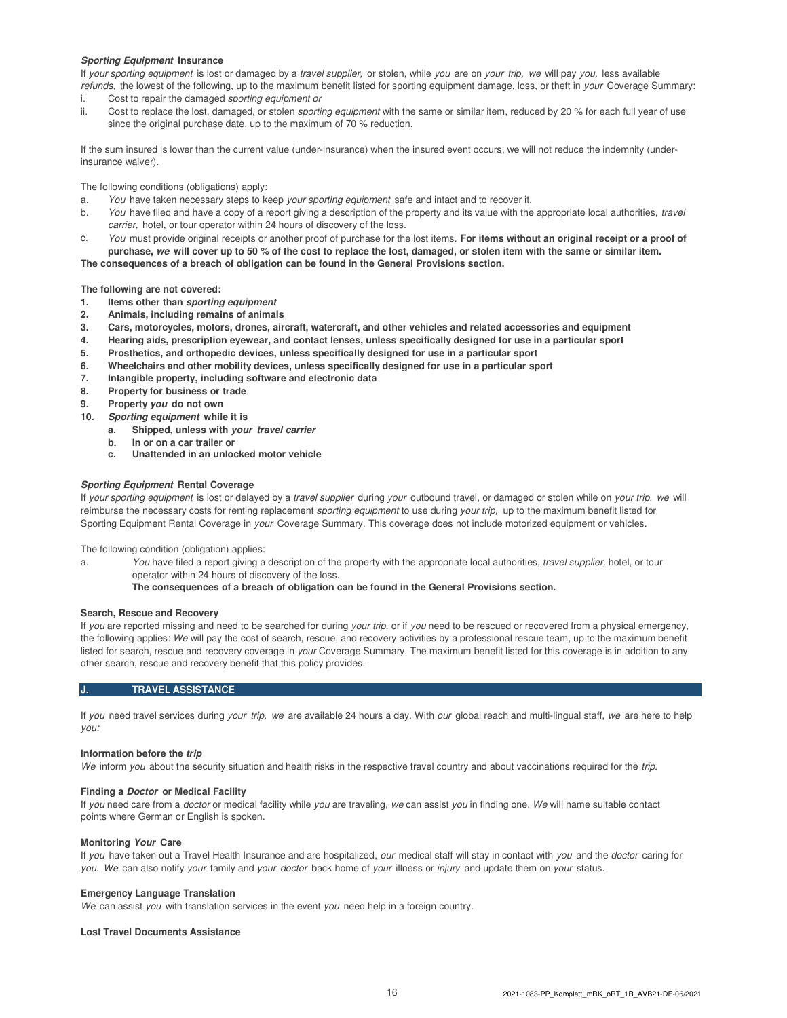#### **Sporting Equipment Insurance**

If your sporting equipment is lost or damaged by a travel supplier, or stolen, while you are on your trip, we will pay you, less available refunds, the lowest of the following, up to the maximum benefit listed for sporting equipment damage, loss, or theft in your Coverage Summary:

- i. Cost to repair the damaged sporting equipment or
- ii. Cost to replace the lost, damaged, or stolen sporting equipment with the same or similar item, reduced by 20 % for each full year of use since the original purchase date, up to the maximum of 70 % reduction.

If the sum insured is lower than the current value (under-insurance) when the insured event occurs, we will not reduce the indemnity (underinsurance waiver).

The following conditions (obligations) apply:

- a. You have taken necessary steps to keep your sporting equipment safe and intact and to recover it.
- b. You have filed and have a copy of a report giving a description of the property and its value with the appropriate local authorities, travel carrier, hotel, or tour operator within 24 hours of discovery of the loss.
- c. You must provide original receipts or another proof of purchase for the lost items. **For items without an original receipt or a proof of purchase, we will cover up to 50 % of the cost to replace the lost, damaged, or stolen item with the same or similar item.**

**The consequences of a breach of obligation can be found in the General Provisions section.**

**The following are not covered:**

- **1. Items other than sporting equipment**
- **2. Animals, including remains of animals**
- **3. Cars, motorcycles, motors, drones, aircraft, watercraft, and other vehicles and related accessories and equipment**
- **4. Hearing aids, prescription eyewear, and contact lenses, unless specifically designed for use in a particular sport**
- **5. Prosthetics, and orthopedic devices, unless specifically designed for use in a particular sport**
- **6. Wheelchairs and other mobility devices, unless specifically designed for use in a particular sport**
- **7. Intangible property, including software and electronic data**
- **8. Property for business or trade**
- **9. Property you do not own**
- **10. Sporting equipment while it is**
	- **a. Shipped, unless with your travel carrier**
	- **b. In or on a car trailer or**
	- **c. Unattended in an unlocked motor vehicle**

#### **Sporting Equipment Rental Coverage**

If your sporting equipment is lost or delayed by a travel supplier during your outbound travel, or damaged or stolen while on your trip, we will reimburse the necessary costs for renting replacement sporting equipment to use during your trip, up to the maximum benefit listed for Sporting Equipment Rental Coverage in your Coverage Summary. This coverage does not include motorized equipment or vehicles.

The following condition (obligation) applies:

a. You have filed a report giving a description of the property with the appropriate local authorities, travel supplier, hotel, or tour operator within 24 hours of discovery of the loss.

**The consequences of a breach of obligation can be found in the General Provisions section.**

#### **Search, Rescue and Recovery**

If you are reported missing and need to be searched for during your trip, or if you need to be rescued or recovered from a physical emergency, the following applies: We will pay the cost of search, rescue, and recovery activities by a professional rescue team, up to the maximum benefit listed for search, rescue and recovery coverage in your Coverage Summary. The maximum benefit listed for this coverage is in addition to any other search, rescue and recovery benefit that this policy provides.

#### **J. TRAVEL ASSISTANCE**

If you need travel services during your trip, we are available 24 hours a day. With our global reach and multi-lingual staff, we are here to help you:

#### **Information before the trip**

We inform you about the security situation and health risks in the respective travel country and about vaccinations required for the trip.

#### **Finding a Doctor or Medical Facility**

If you need care from a *doctor* or medical facility while you are traveling, we can assist you in finding one. We will name suitable contact points where German or English is spoken.

#### **Monitoring Your Care**

If you have taken out a Travel Health Insurance and are hospitalized, our medical staff will stay in contact with you and the doctor caring for you. We can also notify your family and your doctor back home of your illness or injury and update them on your status.

#### **Emergency Language Translation**

We can assist you with translation services in the event you need help in a foreign country.

#### **Lost Travel Documents Assistance**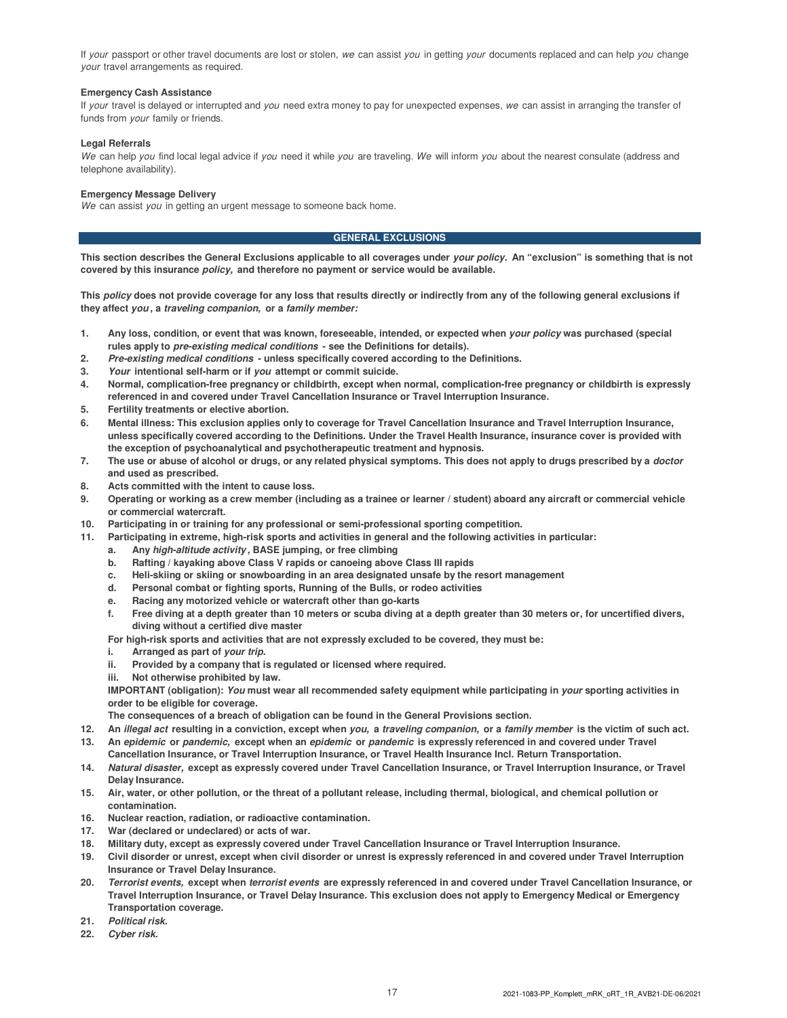If your passport or other travel documents are lost or stolen, we can assist you in getting your documents replaced and can help you change your travel arrangements as required.

#### **Emergency Cash Assistance**

If your travel is delayed or interrupted and you need extra money to pay for unexpected expenses, we can assist in arranging the transfer of funds from your family or friends.

#### **Legal Referrals**

We can help you find local legal advice if you need it while you are traveling. We will inform you about the nearest consulate (address and telephone availability).

#### **Emergency Message Delivery**

We can assist you in getting an urgent message to someone back home.

#### **GENERAL EXCLUSIONS**

**This section describes the General Exclusions applicable to all coverages under your policy. An "exclusion" is something that is not covered by this insurance policy, and therefore no payment or service would be available.**

**This policy does not provide coverage for any loss that results directly or indirectly from any of the following general exclusions if they affect you , a traveling companion, or a family member:**

- 1. Any loss, condition, or event that was known, foreseeable, intended, or expected when *your policy* was purchased (special **rules apply to pre-existing medical conditions - see the Definitions for details).**
- **2. Pre-existing medical conditions unless specifically covered according to the Definitions.**
- **3. Your intentional self-harm or if you attempt or commit suicide.**
- **4. Normal, complication-free pregnancy or childbirth, except when normal, complication-free pregnancy or childbirth is expressly referenced in and covered under Travel Cancellation Insurance or Travel Interruption Insurance.**
- **5. Fertility treatments or elective abortion.**
- **6. Mental illness: This exclusion applies only to coverage for Travel Cancellation Insurance and Travel Interruption Insurance, unless specifically covered according to the Definitions. Under the Travel Health Insurance, insurance cover is provided with the exception of psychoanalytical and psychotherapeutic treatment and hypnosis.**
- **7. The use or abuse of alcohol or drugs, or any related physical symptoms. This does not apply to drugs prescribed by a doctor and used as prescribed.**
- **8. Acts committed with the intent to cause loss.**
- **9. Operating or working as a crew member (including as a trainee or learner / student) aboard any aircraft or commercial vehicle or commercial watercraft.**
- **10. Participating in or training for any professional or semi-professional sporting competition.**
- **11. Participating in extreme, high-risk sports and activities in general and the following activities in particular:**
	- **a. Any high-altitude activity , BASE jumping, or free climbing**
	- **b. Rafting / kayaking above Class V rapids or canoeing above Class III rapids**
	- **c. Heli-skiing or skiing or snowboarding in an area designated unsafe by the resort management**
	- **d. Personal combat or fighting sports, Running of the Bulls, or rodeo activities**
	- **e. Racing any motorized vehicle or watercraft other than go-karts**
	- **f. Free diving at a depth greater than 10 meters or scuba diving at a depth greater than 30 meters or, for uncertified divers, diving without a certified dive master**

**For high-risk sports and activities that are not expressly excluded to be covered, they must be:**

- **i.** Arranged as part of your trip.
- **ii. Provided by a company that is regulated or licensed where required.**
- **iii. Not otherwise prohibited by law.**

**IMPORTANT (obligation): You must wear all recommended safety equipment while participating in your sporting activities in order to be eligible for coverage.**

**The consequences of a breach of obligation can be found in the General Provisions section.**

- **12. An illegal act resulting in a conviction, except when you, a traveling companion, or a family member is the victim of such act.**
- **13. An epidemic or pandemic, except when an epidemic or pandemic is expressly referenced in and covered under Travel Cancellation Insurance, or Travel Interruption Insurance, or Travel Health Insurance Incl. Return Transportation.**
- **14. Natural disaster, except as expressly covered under Travel Cancellation Insurance, or Travel Interruption Insurance, or Travel Delay Insurance.**
- **15. Air, water, or other pollution, or the threat of a pollutant release, including thermal, biological, and chemical pollution or contamination.**
- **16. Nuclear reaction, radiation, or radioactive contamination.**
- **17. War (declared or undeclared) or acts of war.**
- **18. Military duty, except as expressly covered under Travel Cancellation Insurance or Travel Interruption Insurance.**
- **19. Civil disorder or unrest, except when civil disorder or unrest is expressly referenced in and covered under Travel Interruption Insurance or Travel Delay Insurance.**
- **20. Terrorist events, except when terrorist events are expressly referenced in and covered under Travel Cancellation Insurance, or Travel Interruption Insurance, or Travel Delay Insurance. This exclusion does not apply to Emergency Medical or Emergency Transportation coverage.**
- **21. Political risk.**
- **22. Cyber risk.**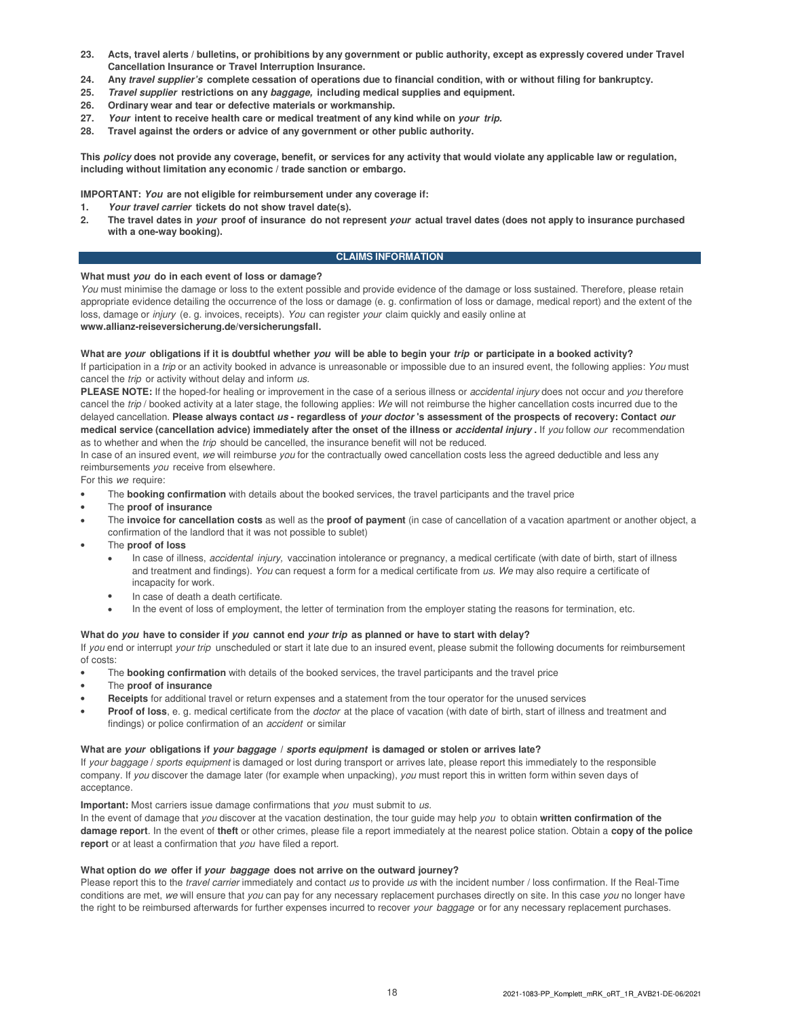- **23. Acts, travel alerts / bulletins, or prohibitions by any government or public authority, except as expressly covered under Travel Cancellation Insurance or Travel Interruption Insurance.**
- **24. Any travel supplier's complete cessation of operations due to financial condition, with or without filing for bankruptcy.**
- **25. Travel supplier restrictions on any baggage, including medical supplies and equipment.**
- **26. Ordinary wear and tear or defective materials or workmanship.**
- **27. Your intent to receive health care or medical treatment of any kind while on your trip.**
- **28. Travel against the orders or advice of any government or other public authority.**

**This policy does not provide any coverage, benefit, or services for any activity that would violate any applicable law or regulation, including without limitation any economic / trade sanction or embargo.**

**IMPORTANT: You are not eligible for reimbursement under any coverage if:**

- **1. Your travel carrier tickets do not show travel date(s).**
- **2. The travel dates in your proof of insurance do not represent your actual travel dates (does not apply to insurance purchased with a one-way booking).**

#### **CLAIMS INFORMATION**

#### **What must you do in each event of loss or damage?**

You must minimise the damage or loss to the extent possible and provide evidence of the damage or loss sustained. Therefore, please retain appropriate evidence detailing the occurrence of the loss or damage (e. g. confirmation of loss or damage, medical report) and the extent of the loss, damage or injury (e. g. invoices, receipts). You can register your claim quickly and easily online at **www.allianz-reiseversicherung.de/versicherungsfall.**

#### **What are your obligations if it is doubtful whether you will be able to begin your trip or participate in a booked activity?**

If participation in a trip or an activity booked in advance is unreasonable or impossible due to an insured event, the following applies: You must cancel the trip or activity without delay and inform us.

PLEASE NOTE: If the hoped-for healing or improvement in the case of a serious illness or *accidental injury* does not occur and you therefore cancel the trip / booked activity at a later stage, the following applies: We will not reimburse the higher cancellation costs incurred due to the delayed cancellation. **Please always contact us - regardless of your doctor 's assessment of the prospects of recovery: Contact our medical service (cancellation advice) immediately after the onset of the illness or accidental injury .** If you follow our recommendation as to whether and when the trip should be cancelled, the insurance benefit will not be reduced.

In case of an insured event, we will reimburse you for the contractually owed cancellation costs less the agreed deductible and less any reimbursements you receive from elsewhere.

For this we require:

- The **booking confirmation** with details about the booked services, the travel participants and the travel price
- The **proof of insurance**
- The **invoice for cancellation costs** as well as the **proof of payment** (in case of cancellation of a vacation apartment or another object, a confirmation of the landlord that it was not possible to sublet)
- The **proof of loss**
	- In case of illness, accidental injury, vaccination intolerance or pregnancy, a medical certificate (with date of birth, start of illness and treatment and findings). You can request a form for a medical certificate from us. We may also require a certificate of incapacity for work.
	- In case of death a death certificate.
	- In the event of loss of employment, the letter of termination from the employer stating the reasons for termination, etc.

#### **What do you have to consider if you cannot end your trip as planned or have to start with delay?**

If you end or interrupt your trip unscheduled or start it late due to an insured event, please submit the following documents for reimbursement of costs:

- The **booking confirmation** with details of the booked services, the travel participants and the travel price
- The **proof of insurance**
- **Receipts** for additional travel or return expenses and a statement from the tour operator for the unused services
- **Proof of loss**, e. g. medical certificate from the doctor at the place of vacation (with date of birth, start of illness and treatment and findings) or police confirmation of an *accident* or similar

#### **What are your obligations if your baggage / sports equipment is damaged or stolen or arrives late?**

If your baggage / sports equipment is damaged or lost during transport or arrives late, please report this immediately to the responsible company. If you discover the damage later (for example when unpacking), you must report this in written form within seven days of acceptance.

**Important:** Most carriers issue damage confirmations that you must submit to us.

In the event of damage that you discover at the vacation destination, the tour guide may help you to obtain **written confirmation of the damage report**. In the event of **theft** or other crimes, please file a report immediately at the nearest police station. Obtain a **copy of the police report** or at least a confirmation that you have filed a report.

#### **What option do we offer if your baggage does not arrive on the outward journey?**

Please report this to the travel carrier immediately and contact us to provide us with the incident number / loss confirmation. If the Real-Time conditions are met, we will ensure that you can pay for any necessary replacement purchases directly on site. In this case you no longer have the right to be reimbursed afterwards for further expenses incurred to recover your baggage or for any necessary replacement purchases.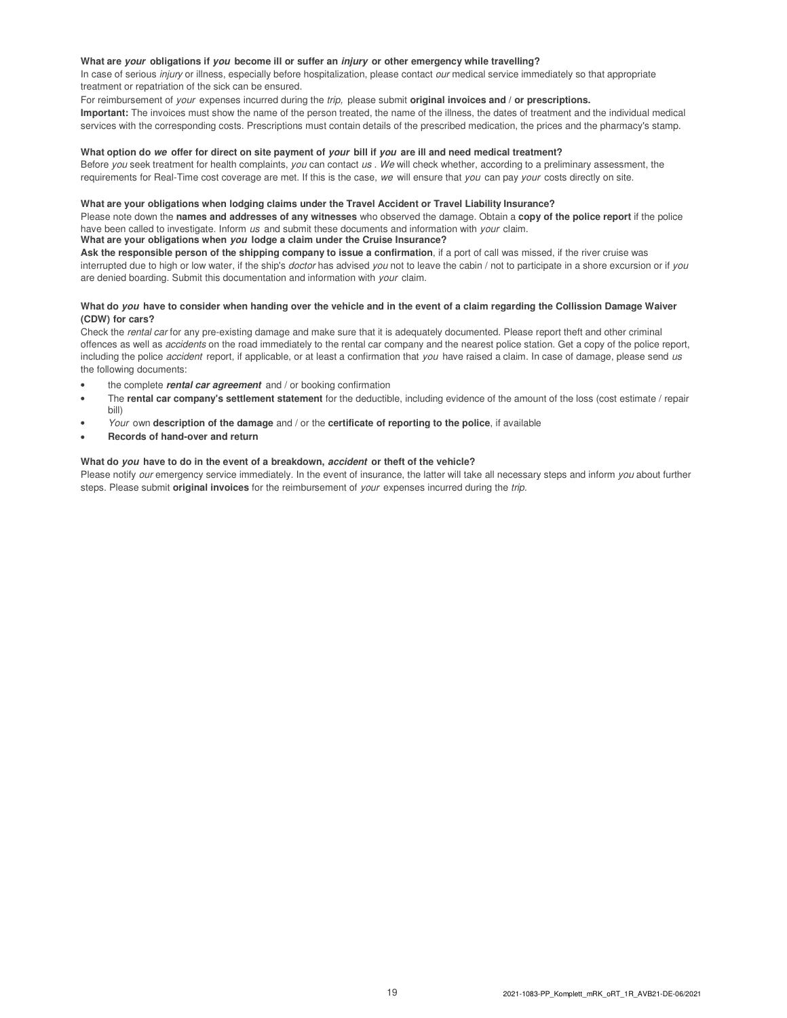#### **What are your obligations if you become ill or suffer an injury or other emergency while travelling?**

In case of serious *injury* or illness, especially before hospitalization, please contact *our* medical service immediately so that appropriate treatment or repatriation of the sick can be ensured.

#### For reimbursement of your expenses incurred during the trip, please submit **original invoices and / or prescriptions.**

**Important:** The invoices must show the name of the person treated, the name of the illness, the dates of treatment and the individual medical services with the corresponding costs. Prescriptions must contain details of the prescribed medication, the prices and the pharmacy's stamp.

#### **What option do we offer for direct on site payment of your bill if you are ill and need medical treatment?**

Before you seek treatment for health complaints, you can contact us . We will check whether, according to a preliminary assessment, the requirements for Real-Time cost coverage are met. If this is the case, we will ensure that you can pay your costs directly on site.

#### **What are your obligations when lodging claims under the Travel Accident or Travel Liability Insurance?**

Please note down the **names and addresses of any witnesses** who observed the damage. Obtain a **copy of the police report** if the police have been called to investigate. Inform us and submit these documents and information with your claim.

#### **What are your obligations when you lodge a claim under the Cruise Insurance?**

**Ask the responsible person of the shipping company to issue a confirmation**, if a port of call was missed, if the river cruise was interrupted due to high or low water, if the ship's *doctor* has advised you not to leave the cabin / not to participate in a shore excursion or if you are denied boarding. Submit this documentation and information with your claim.

#### **What do you have to consider when handing over the vehicle and in the event of a claim regarding the Collission Damage Waiver (CDW) for cars?**

Check the rental car for any pre-existing damage and make sure that it is adequately documented. Please report theft and other criminal offences as well as *accidents* on the road immediately to the rental car company and the nearest police station. Get a copy of the police report, including the police accident report, if applicable, or at least a confirmation that you have raised a claim. In case of damage, please send us the following documents:

- the complete **rental car agreement** and / or booking confirmation
- The **rental car company's settlement statement** for the deductible, including evidence of the amount of the loss (cost estimate / repair bill)
- Your own **description of the damage** and / or the **certificate of reporting to the police**, if available
- **Records of hand-over and return**

#### **What do you have to do in the event of a breakdown, accident or theft of the vehicle?**

Please notify our emergency service immediately. In the event of insurance, the latter will take all necessary steps and inform you about further steps. Please submit **original invoices** for the reimbursement of your expenses incurred during the trip.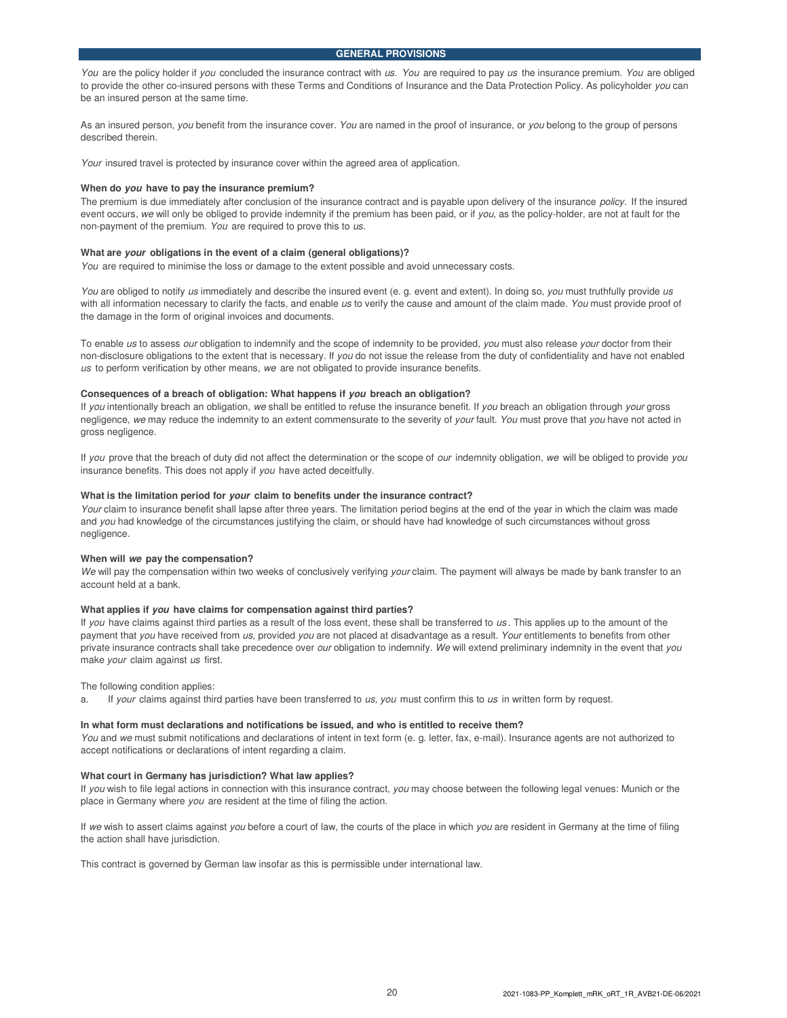You are the policy holder if you concluded the insurance contract with us. You are required to pay us the insurance premium. You are obliged to provide the other co-insured persons with these Terms and Conditions of Insurance and the Data Protection Policy. As policyholder you can be an insured person at the same time.

As an insured person, you benefit from the insurance cover. You are named in the proof of insurance, or you belong to the group of persons described therein.

Your insured travel is protected by insurance cover within the agreed area of application.

#### **When do you have to pay the insurance premium?**

The premium is due immediately after conclusion of the insurance contract and is payable upon delivery of the insurance policy. If the insured event occurs, we will only be obliged to provide indemnity if the premium has been paid, or if you, as the policy-holder, are not at fault for the non-payment of the premium. You are required to prove this to us.

#### **What are your obligations in the event of a claim (general obligations)?**

You are required to minimise the loss or damage to the extent possible and avoid unnecessary costs.

You are obliged to notify us immediately and describe the insured event (e. g. event and extent). In doing so, you must truthfully provide us with all information necessary to clarify the facts, and enable us to verify the cause and amount of the claim made. You must provide proof of the damage in the form of original invoices and documents.

To enable us to assess our obligation to indemnify and the scope of indemnity to be provided, you must also release your doctor from their non-disclosure obligations to the extent that is necessary. If you do not issue the release from the duty of confidentiality and have not enabled us to perform verification by other means, we are not obligated to provide insurance benefits.

#### **Consequences of a breach of obligation: What happens if you breach an obligation?**

If you intentionally breach an obligation, we shall be entitled to refuse the insurance benefit. If you breach an obligation through your gross negligence, we may reduce the indemnity to an extent commensurate to the severity of your fault. You must prove that you have not acted in gross negligence.

If you prove that the breach of duty did not affect the determination or the scope of our indemnity obligation, we will be obliged to provide you insurance benefits. This does not apply if you have acted deceitfully.

#### **What is the limitation period for your claim to benefits under the insurance contract?**

Your claim to insurance benefit shall lapse after three years. The limitation period begins at the end of the year in which the claim was made and you had knowledge of the circumstances justifying the claim, or should have had knowledge of such circumstances without gross negligence.

#### **When will we pay the compensation?**

We will pay the compensation within two weeks of conclusively verifying your claim. The payment will always be made by bank transfer to an account held at a bank.

#### **What applies if you have claims for compensation against third parties?**

If you have claims against third parties as a result of the loss event, these shall be transferred to us. This applies up to the amount of the payment that you have received from us, provided you are not placed at disadvantage as a result. Your entitlements to benefits from other private insurance contracts shall take precedence over our obligation to indemnify. We will extend preliminary indemnity in the event that you make your claim against us first.

The following condition applies:

a. If your claims against third parties have been transferred to us, you must confirm this to us in written form by request.

#### **In what form must declarations and notifications be issued, and who is entitled to receive them?**

You and we must submit notifications and declarations of intent in text form (e. g. letter, fax, e-mail). Insurance agents are not authorized to accept notifications or declarations of intent regarding a claim.

#### **What court in Germany has jurisdiction? What law applies?**

If you wish to file legal actions in connection with this insurance contract, you may choose between the following legal venues: Munich or the place in Germany where you are resident at the time of filing the action.

If we wish to assert claims against you before a court of law, the courts of the place in which you are resident in Germany at the time of filing the action shall have jurisdiction.

This contract is governed by German law insofar as this is permissible under international law.